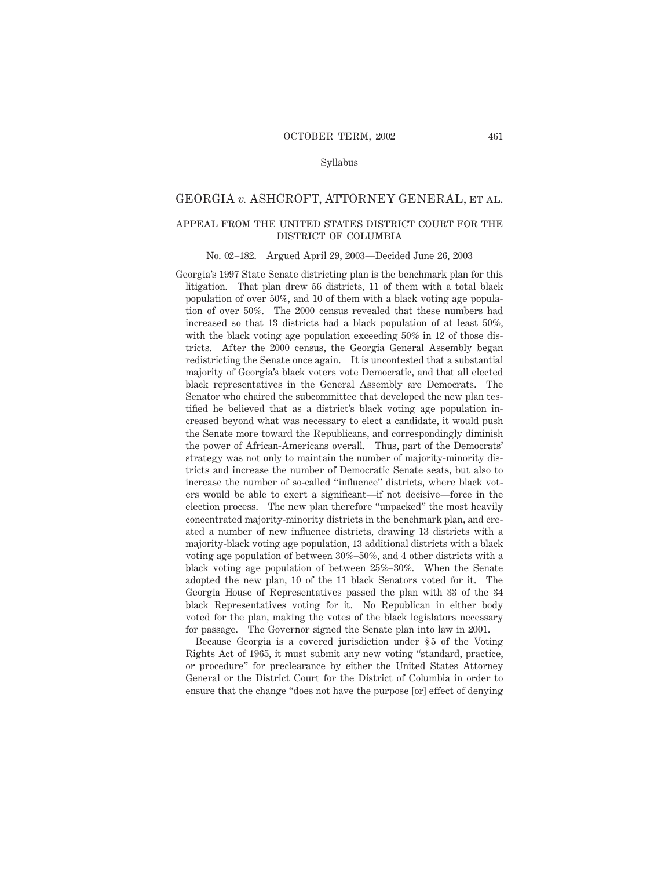## GEORGIA *v.* ASHCROFT, ATTORNEY GENERAL, et al.

# appeal from the united states district court for the district of columbia

#### No. 02–182. Argued April 29, 2003—Decided June 26, 2003

Georgia's 1997 State Senate districting plan is the benchmark plan for this litigation. That plan drew 56 districts, 11 of them with a total black population of over 50%, and 10 of them with a black voting age population of over 50%. The 2000 census revealed that these numbers had increased so that 13 districts had a black population of at least 50%, with the black voting age population exceeding 50% in 12 of those districts. After the 2000 census, the Georgia General Assembly began redistricting the Senate once again. It is uncontested that a substantial majority of Georgia's black voters vote Democratic, and that all elected black representatives in the General Assembly are Democrats. The Senator who chaired the subcommittee that developed the new plan testified he believed that as a district's black voting age population increased beyond what was necessary to elect a candidate, it would push the Senate more toward the Republicans, and correspondingly diminish the power of African-Americans overall. Thus, part of the Democrats' strategy was not only to maintain the number of majority-minority districts and increase the number of Democratic Senate seats, but also to increase the number of so-called "influence" districts, where black voters would be able to exert a significant—if not decisive—force in the election process. The new plan therefore "unpacked" the most heavily concentrated majority-minority districts in the benchmark plan, and created a number of new influence districts, drawing 13 districts with a majority-black voting age population, 13 additional districts with a black voting age population of between 30%–50%, and 4 other districts with a black voting age population of between 25%–30%. When the Senate adopted the new plan, 10 of the 11 black Senators voted for it. The Georgia House of Representatives passed the plan with 33 of the 34 black Representatives voting for it. No Republican in either body voted for the plan, making the votes of the black legislators necessary for passage. The Governor signed the Senate plan into law in 2001.

Because Georgia is a covered jurisdiction under §5 of the Voting Rights Act of 1965, it must submit any new voting "standard, practice, or procedure" for preclearance by either the United States Attorney General or the District Court for the District of Columbia in order to ensure that the change "does not have the purpose [or] effect of denying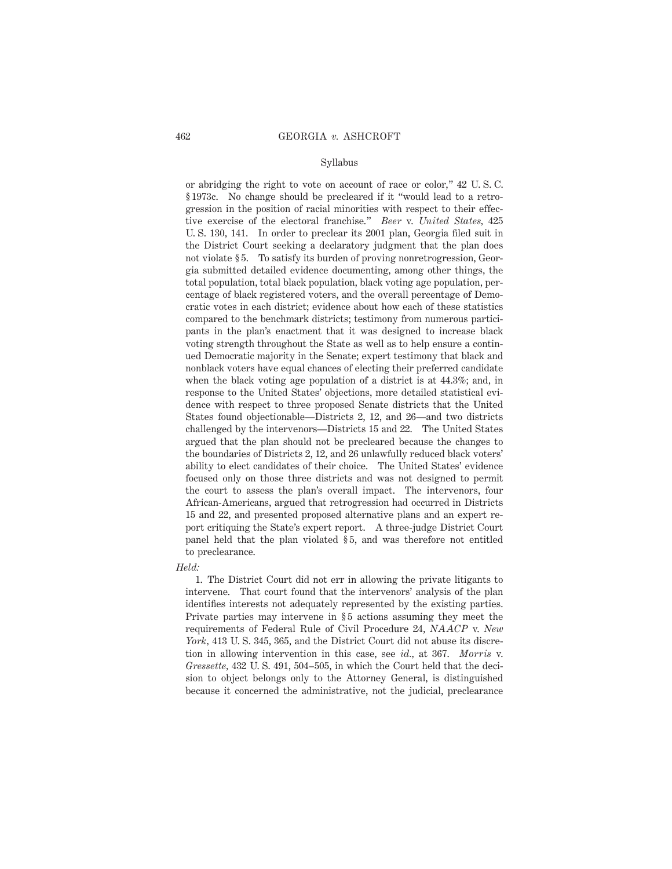or abridging the right to vote on account of race or color," 42 U. S. C. § 1973c. No change should be precleared if it "would lead to a retrogression in the position of racial minorities with respect to their effective exercise of the electoral franchise." *Beer* v. *United States,* 425 U. S. 130, 141. In order to preclear its 2001 plan, Georgia filed suit in the District Court seeking a declaratory judgment that the plan does not violate § 5. To satisfy its burden of proving nonretrogression, Georgia submitted detailed evidence documenting, among other things, the total population, total black population, black voting age population, percentage of black registered voters, and the overall percentage of Democratic votes in each district; evidence about how each of these statistics compared to the benchmark districts; testimony from numerous participants in the plan's enactment that it was designed to increase black voting strength throughout the State as well as to help ensure a continued Democratic majority in the Senate; expert testimony that black and nonblack voters have equal chances of electing their preferred candidate when the black voting age population of a district is at 44.3%; and, in response to the United States' objections, more detailed statistical evidence with respect to three proposed Senate districts that the United States found objectionable—Districts 2, 12, and 26—and two districts challenged by the intervenors—Districts 15 and 22. The United States argued that the plan should not be precleared because the changes to the boundaries of Districts 2, 12, and 26 unlawfully reduced black voters' ability to elect candidates of their choice. The United States' evidence focused only on those three districts and was not designed to permit the court to assess the plan's overall impact. The intervenors, four African-Americans, argued that retrogression had occurred in Districts 15 and 22, and presented proposed alternative plans and an expert report critiquing the State's expert report. A three-judge District Court panel held that the plan violated § 5, and was therefore not entitled to preclearance.

#### *Held:*

1. The District Court did not err in allowing the private litigants to intervene. That court found that the intervenors' analysis of the plan identifies interests not adequately represented by the existing parties. Private parties may intervene in § 5 actions assuming they meet the requirements of Federal Rule of Civil Procedure 24, *NAACP* v. *New York,* 413 U. S. 345, 365, and the District Court did not abuse its discretion in allowing intervention in this case, see *id.,* at 367. *Morris* v. *Gressette,* 432 U. S. 491, 504–505, in which the Court held that the decision to object belongs only to the Attorney General, is distinguished because it concerned the administrative, not the judicial, preclearance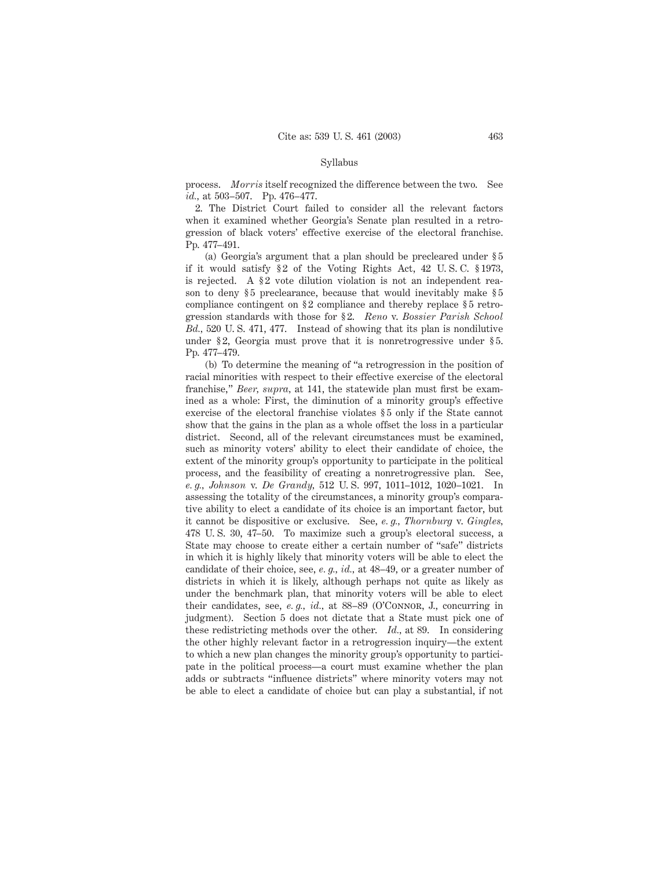process. *Morris* itself recognized the difference between the two. See *id.,* at 503–507. Pp. 476–477.

2. The District Court failed to consider all the relevant factors when it examined whether Georgia's Senate plan resulted in a retrogression of black voters' effective exercise of the electoral franchise. Pp. 477–491.

(a) Georgia's argument that a plan should be precleared under § 5 if it would satisfy  $\S 2$  of the Voting Rights Act, 42 U.S.C.  $\S 1973$ , is rejected. A  $\S 2$  vote dilution violation is not an independent reason to deny \$5 preclearance, because that would inevitably make \$5 compliance contingent on §2 compliance and thereby replace §5 retrogression standards with those for § 2. *Reno* v. *Bossier Parish School Bd.,* 520 U. S. 471, 477. Instead of showing that its plan is nondilutive under §2, Georgia must prove that it is nonretrogressive under §5. Pp. 477–479.

(b) To determine the meaning of "a retrogression in the position of racial minorities with respect to their effective exercise of the electoral franchise," *Beer, supra,* at 141, the statewide plan must first be examined as a whole: First, the diminution of a minority group's effective exercise of the electoral franchise violates  $\S 5$  only if the State cannot show that the gains in the plan as a whole offset the loss in a particular district. Second, all of the relevant circumstances must be examined, such as minority voters' ability to elect their candidate of choice, the extent of the minority group's opportunity to participate in the political process, and the feasibility of creating a nonretrogressive plan. See, *e. g., Johnson* v. *De Grandy,* 512 U. S. 997, 1011–1012, 1020–1021. In assessing the totality of the circumstances, a minority group's comparative ability to elect a candidate of its choice is an important factor, but it cannot be dispositive or exclusive. See, *e. g., Thornburg* v. *Gingles,* 478 U. S. 30, 47–50. To maximize such a group's electoral success, a State may choose to create either a certain number of "safe" districts in which it is highly likely that minority voters will be able to elect the candidate of their choice, see, *e. g., id.,* at 48–49, or a greater number of districts in which it is likely, although perhaps not quite as likely as under the benchmark plan, that minority voters will be able to elect their candidates, see, *e. g., id.,* at 88–89 (O'Connor, J., concurring in judgment). Section 5 does not dictate that a State must pick one of these redistricting methods over the other. *Id.,* at 89. In considering the other highly relevant factor in a retrogression inquiry—the extent to which a new plan changes the minority group's opportunity to participate in the political process—a court must examine whether the plan adds or subtracts "influence districts" where minority voters may not be able to elect a candidate of choice but can play a substantial, if not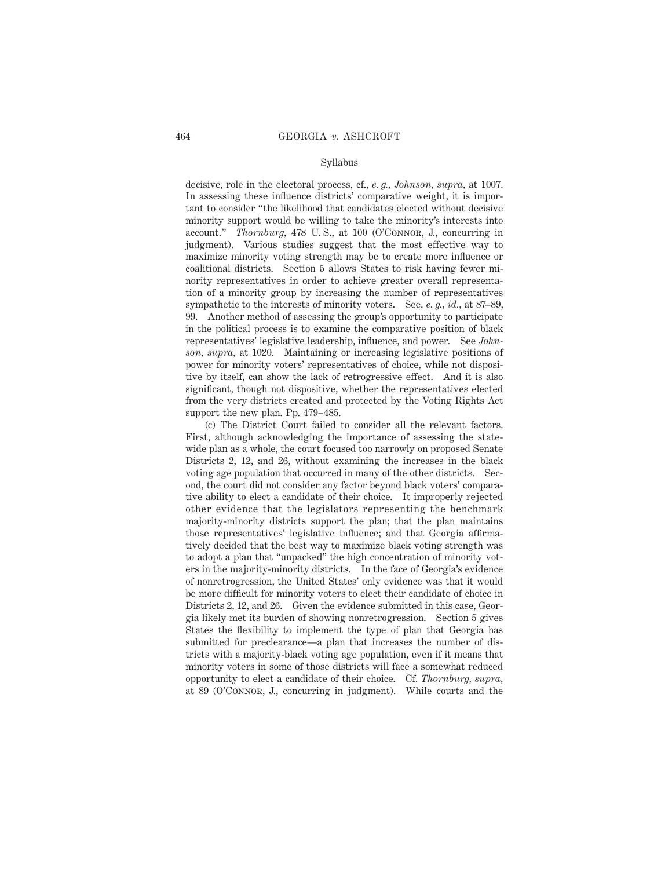decisive, role in the electoral process, cf., *e. g., Johnson, supra,* at 1007. In assessing these influence districts' comparative weight, it is important to consider "the likelihood that candidates elected without decisive minority support would be willing to take the minority's interests into account." *Thornburg,* 478 U. S., at 100 (O'Connor, J., concurring in judgment). Various studies suggest that the most effective way to maximize minority voting strength may be to create more influence or coalitional districts. Section 5 allows States to risk having fewer minority representatives in order to achieve greater overall representation of a minority group by increasing the number of representatives sympathetic to the interests of minority voters. See, *e. g., id.,* at 87–89, 99. Another method of assessing the group's opportunity to participate in the political process is to examine the comparative position of black representatives' legislative leadership, influence, and power. See *Johnson, supra,* at 1020. Maintaining or increasing legislative positions of power for minority voters' representatives of choice, while not dispositive by itself, can show the lack of retrogressive effect. And it is also significant, though not dispositive, whether the representatives elected from the very districts created and protected by the Voting Rights Act support the new plan. Pp. 479–485.

(c) The District Court failed to consider all the relevant factors. First, although acknowledging the importance of assessing the statewide plan as a whole, the court focused too narrowly on proposed Senate Districts 2, 12, and 26, without examining the increases in the black voting age population that occurred in many of the other districts. Second, the court did not consider any factor beyond black voters' comparative ability to elect a candidate of their choice. It improperly rejected other evidence that the legislators representing the benchmark majority-minority districts support the plan; that the plan maintains those representatives' legislative influence; and that Georgia affirmatively decided that the best way to maximize black voting strength was to adopt a plan that "unpacked" the high concentration of minority voters in the majority-minority districts. In the face of Georgia's evidence of nonretrogression, the United States' only evidence was that it would be more difficult for minority voters to elect their candidate of choice in Districts 2, 12, and 26. Given the evidence submitted in this case, Georgia likely met its burden of showing nonretrogression. Section 5 gives States the flexibility to implement the type of plan that Georgia has submitted for preclearance—a plan that increases the number of districts with a majority-black voting age population, even if it means that minority voters in some of those districts will face a somewhat reduced opportunity to elect a candidate of their choice. Cf. *Thornburg, supra,* at 89 (O'Connor, J., concurring in judgment). While courts and the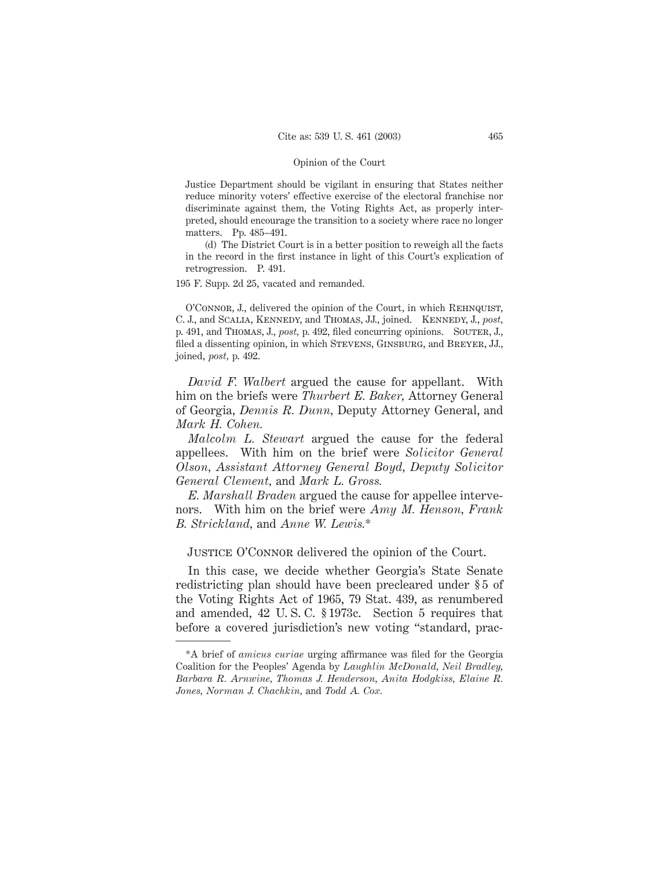Justice Department should be vigilant in ensuring that States neither reduce minority voters' effective exercise of the electoral franchise nor discriminate against them, the Voting Rights Act, as properly interpreted, should encourage the transition to a society where race no longer matters. Pp. 485–491.

(d) The District Court is in a better position to reweigh all the facts in the record in the first instance in light of this Court's explication of retrogression. P. 491.

195 F. Supp. 2d 25, vacated and remanded.

O'Connor, J., delivered the opinion of the Court, in which Rehnquist, C. J., and Scalia, Kennedy, and Thomas, JJ., joined. Kennedy, J., *post,* p. 491, and THOMAS, J., *post*, p. 492, filed concurring opinions. SOUTER, J., filed a dissenting opinion, in which STEVENS, GINSBURG, and BREYER, JJ., joined, *post,* p. 492.

*David F. Walbert* argued the cause for appellant. With him on the briefs were *Thurbert E. Baker,* Attorney General of Georgia, *Dennis R. Dunn,* Deputy Attorney General, and *Mark H. Cohen.*

*Malcolm L. Stewart* argued the cause for the federal appellees. With him on the brief were *Solicitor General Olson, Assistant Attorney General Boyd, Deputy Solicitor General Clement,* and *Mark L. Gross.*

*E. Marshall Braden* argued the cause for appellee intervenors. With him on the brief were *Amy M. Henson, Frank B. Strickland,* and *Anne W. Lewis.*\*

JUSTICE O'CONNOR delivered the opinion of the Court.

In this case, we decide whether Georgia's State Senate redistricting plan should have been precleared under § 5 of the Voting Rights Act of 1965, 79 Stat. 439, as renumbered and amended, 42 U. S. C. § 1973c. Section 5 requires that before a covered jurisdiction's new voting "standard, prac-

<sup>\*</sup>A brief of *amicus curiae* urging affirmance was filed for the Georgia Coalition for the Peoples' Agenda by *Laughlin McDonald, Neil Bradley, Barbara R. Arnwine, Thomas J. Henderson, Anita Hodgkiss, Elaine R. Jones, Norman J. Chachkin,* and *Todd A. Cox.*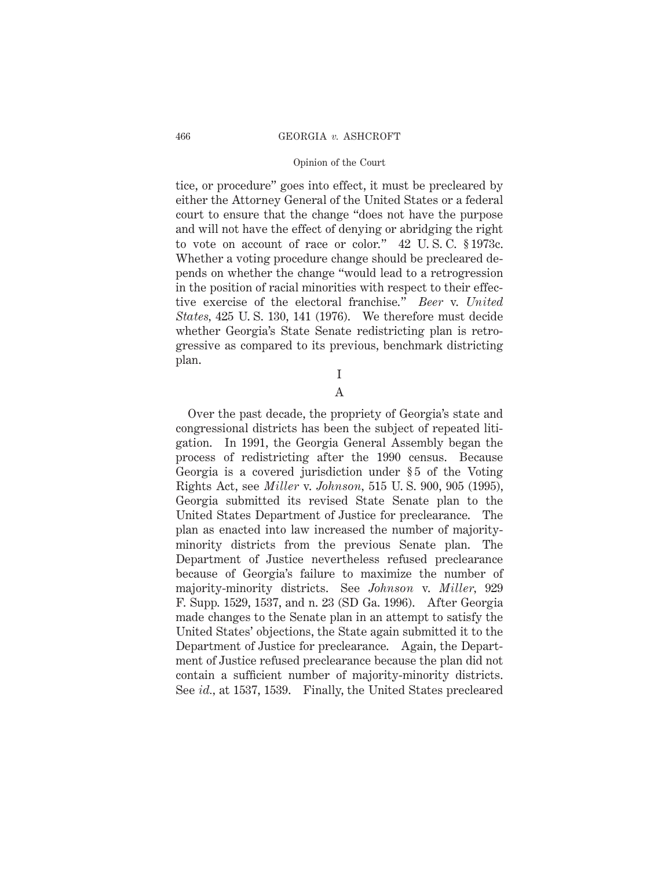tice, or procedure" goes into effect, it must be precleared by either the Attorney General of the United States or a federal court to ensure that the change "does not have the purpose and will not have the effect of denying or abridging the right to vote on account of race or color." 42 U. S. C. § 1973c. Whether a voting procedure change should be precleared depends on whether the change "would lead to a retrogression in the position of racial minorities with respect to their effective exercise of the electoral franchise." *Beer* v. *United States,* 425 U. S. 130, 141 (1976). We therefore must decide whether Georgia's State Senate redistricting plan is retrogressive as compared to its previous, benchmark districting plan.

I

# A

Over the past decade, the propriety of Georgia's state and congressional districts has been the subject of repeated litigation. In 1991, the Georgia General Assembly began the process of redistricting after the 1990 census. Because Georgia is a covered jurisdiction under §5 of the Voting Rights Act, see *Miller* v. *Johnson,* 515 U. S. 900, 905 (1995), Georgia submitted its revised State Senate plan to the United States Department of Justice for preclearance. The plan as enacted into law increased the number of majorityminority districts from the previous Senate plan. The Department of Justice nevertheless refused preclearance because of Georgia's failure to maximize the number of majority-minority districts. See *Johnson* v. *Miller,* 929 F. Supp. 1529, 1537, and n. 23 (SD Ga. 1996). After Georgia made changes to the Senate plan in an attempt to satisfy the United States' objections, the State again submitted it to the Department of Justice for preclearance. Again, the Department of Justice refused preclearance because the plan did not contain a sufficient number of majority-minority districts. See *id.,* at 1537, 1539. Finally, the United States precleared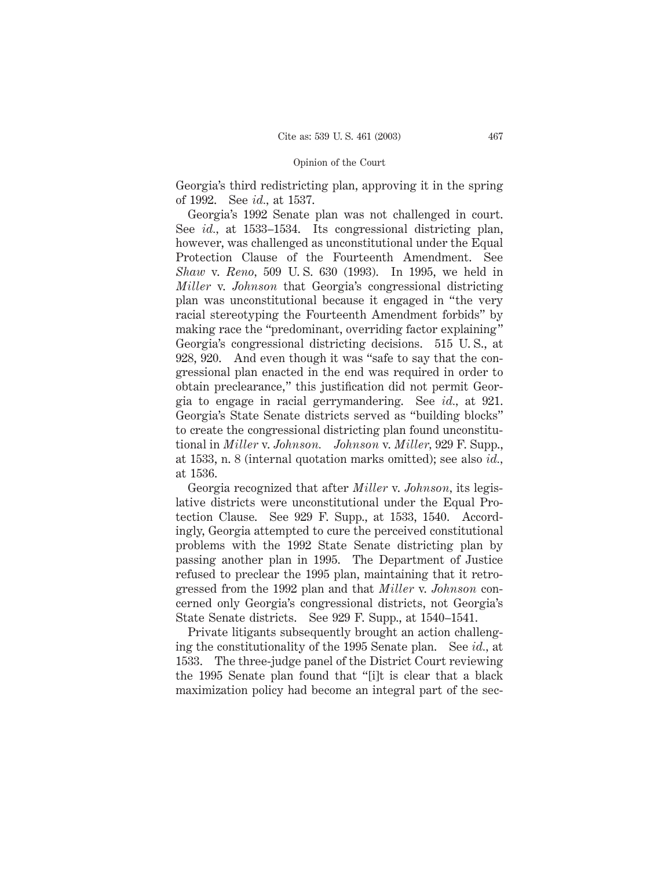Georgia's third redistricting plan, approving it in the spring of 1992. See *id.,* at 1537.

Georgia's 1992 Senate plan was not challenged in court. See *id.,* at 1533–1534. Its congressional districting plan, however, was challenged as unconstitutional under the Equal Protection Clause of the Fourteenth Amendment. See *Shaw* v. *Reno,* 509 U. S. 630 (1993). In 1995, we held in *Miller* v. *Johnson* that Georgia's congressional districting plan was unconstitutional because it engaged in "the very racial stereotyping the Fourteenth Amendment forbids" by making race the "predominant, overriding factor explaining" Georgia's congressional districting decisions. 515 U. S., at 928, 920. And even though it was "safe to say that the congressional plan enacted in the end was required in order to obtain preclearance," this justification did not permit Georgia to engage in racial gerrymandering. See *id.,* at 921. Georgia's State Senate districts served as "building blocks" to create the congressional districting plan found unconstitutional in *Miller* v. *Johnson. Johnson* v. *Miller,* 929 F. Supp., at 1533, n. 8 (internal quotation marks omitted); see also *id.,* at 1536.

Georgia recognized that after *Miller* v. *Johnson,* its legislative districts were unconstitutional under the Equal Protection Clause. See 929 F. Supp., at 1533, 1540. Accordingly, Georgia attempted to cure the perceived constitutional problems with the 1992 State Senate districting plan by passing another plan in 1995. The Department of Justice refused to preclear the 1995 plan, maintaining that it retrogressed from the 1992 plan and that *Miller* v. *Johnson* concerned only Georgia's congressional districts, not Georgia's State Senate districts. See 929 F. Supp., at 1540–1541.

Private litigants subsequently brought an action challenging the constitutionality of the 1995 Senate plan. See *id.,* at 1533. The three-judge panel of the District Court reviewing the 1995 Senate plan found that "[i]t is clear that a black maximization policy had become an integral part of the sec-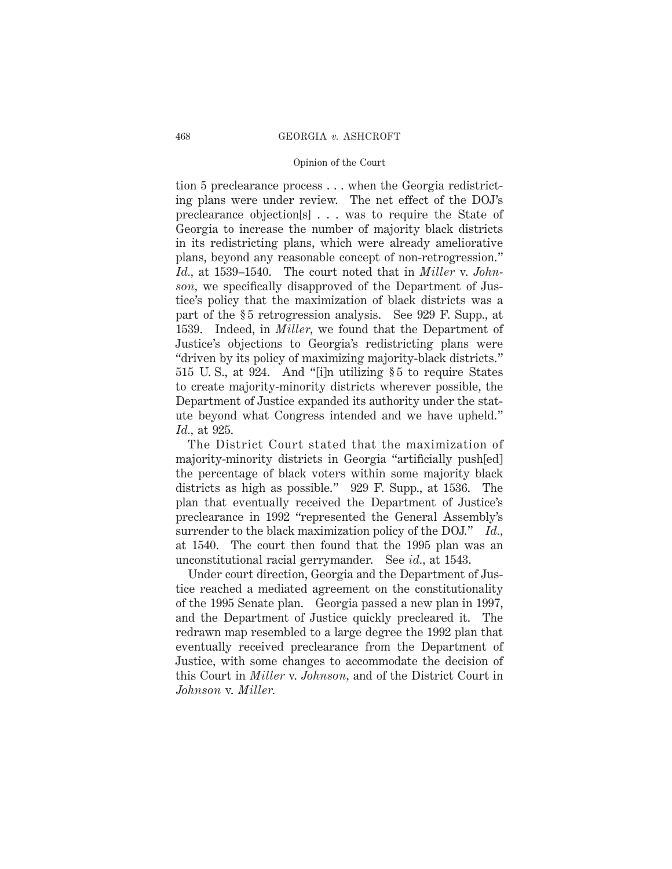tion 5 preclearance process . . . when the Georgia redistricting plans were under review. The net effect of the DOJ's preclearance objection[s] . . . was to require the State of Georgia to increase the number of majority black districts in its redistricting plans, which were already ameliorative plans, beyond any reasonable concept of non-retrogression." *Id.,* at 1539–1540. The court noted that in *Miller* v. *Johnson,* we specifically disapproved of the Department of Justice's policy that the maximization of black districts was a part of the § 5 retrogression analysis. See 929 F. Supp., at 1539. Indeed, in *Miller,* we found that the Department of Justice's objections to Georgia's redistricting plans were "driven by its policy of maximizing majority-black districts." 515 U. S., at 924. And "[i]n utilizing § 5 to require States to create majority-minority districts wherever possible, the Department of Justice expanded its authority under the statute beyond what Congress intended and we have upheld." *Id.,* at 925.

The District Court stated that the maximization of majority-minority districts in Georgia "artificially push[ed] the percentage of black voters within some majority black districts as high as possible." 929 F. Supp., at 1536. The plan that eventually received the Department of Justice's preclearance in 1992 "represented the General Assembly's surrender to the black maximization policy of the DOJ." *Id.,* at 1540. The court then found that the 1995 plan was an unconstitutional racial gerrymander. See *id.,* at 1543.

Under court direction, Georgia and the Department of Justice reached a mediated agreement on the constitutionality of the 1995 Senate plan. Georgia passed a new plan in 1997, and the Department of Justice quickly precleared it. The redrawn map resembled to a large degree the 1992 plan that eventually received preclearance from the Department of Justice, with some changes to accommodate the decision of this Court in *Miller* v. *Johnson,* and of the District Court in *Johnson* v. *Miller.*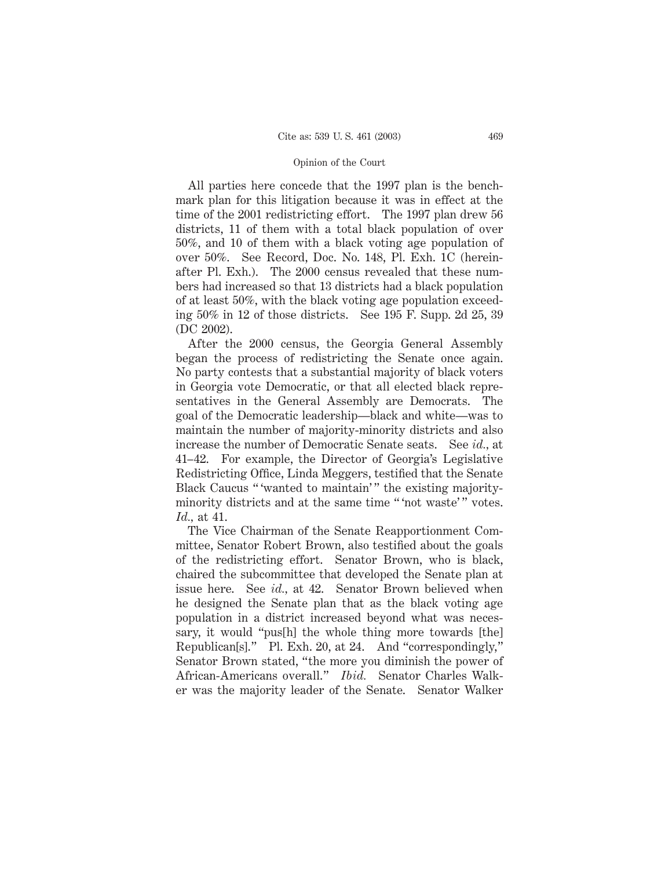All parties here concede that the 1997 plan is the benchmark plan for this litigation because it was in effect at the time of the 2001 redistricting effort. The 1997 plan drew 56 districts, 11 of them with a total black population of over 50%, and 10 of them with a black voting age population of over 50%. See Record, Doc. No. 148, Pl. Exh. 1C (hereinafter Pl. Exh.). The 2000 census revealed that these numbers had increased so that 13 districts had a black population of at least 50%, with the black voting age population exceeding 50% in 12 of those districts. See 195 F. Supp. 2d 25, 39 (DC 2002).

After the 2000 census, the Georgia General Assembly began the process of redistricting the Senate once again. No party contests that a substantial majority of black voters in Georgia vote Democratic, or that all elected black representatives in the General Assembly are Democrats. The goal of the Democratic leadership—black and white—was to maintain the number of majority-minority districts and also increase the number of Democratic Senate seats. See *id.,* at 41–42. For example, the Director of Georgia's Legislative Redistricting Office, Linda Meggers, testified that the Senate Black Caucus "'wanted to maintain'" the existing majorityminority districts and at the same time " 'not waste' " votes. *Id.,* at 41.

The Vice Chairman of the Senate Reapportionment Committee, Senator Robert Brown, also testified about the goals of the redistricting effort. Senator Brown, who is black, chaired the subcommittee that developed the Senate plan at issue here. See *id.,* at 42. Senator Brown believed when he designed the Senate plan that as the black voting age population in a district increased beyond what was necessary, it would "pus[h] the whole thing more towards [the] Republican[s]." Pl. Exh. 20, at 24. And "correspondingly," Senator Brown stated, "the more you diminish the power of African-Americans overall." *Ibid.* Senator Charles Walker was the majority leader of the Senate. Senator Walker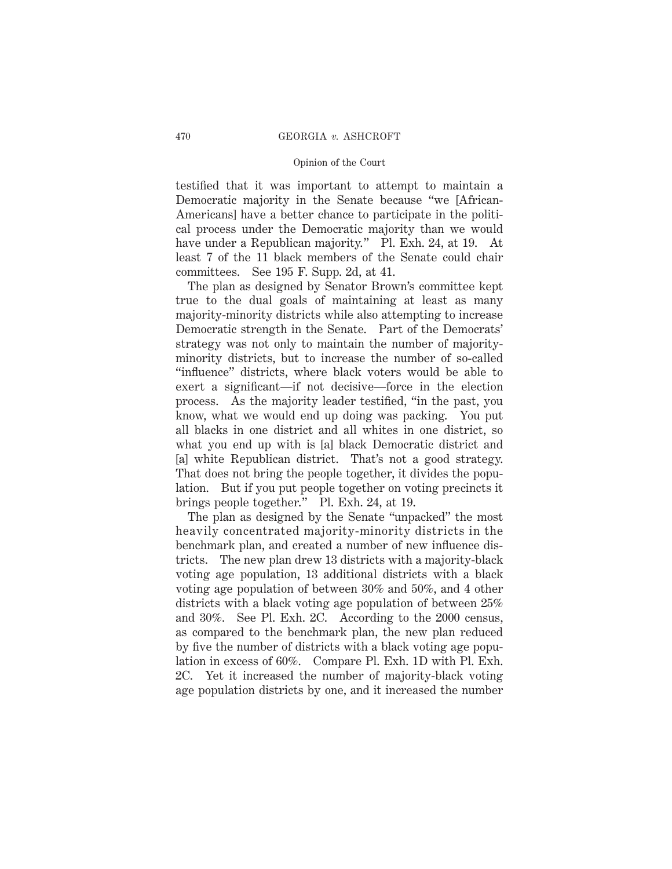testified that it was important to attempt to maintain a Democratic majority in the Senate because "we [African-Americans] have a better chance to participate in the political process under the Democratic majority than we would have under a Republican majority." Pl. Exh. 24, at 19. At least 7 of the 11 black members of the Senate could chair committees. See 195 F. Supp. 2d, at 41.

The plan as designed by Senator Brown's committee kept true to the dual goals of maintaining at least as many majority-minority districts while also attempting to increase Democratic strength in the Senate. Part of the Democrats' strategy was not only to maintain the number of majorityminority districts, but to increase the number of so-called "influence" districts, where black voters would be able to exert a significant—if not decisive—force in the election process. As the majority leader testified, "in the past, you know, what we would end up doing was packing. You put all blacks in one district and all whites in one district, so what you end up with is [a] black Democratic district and [a] white Republican district. That's not a good strategy. That does not bring the people together, it divides the population. But if you put people together on voting precincts it brings people together." Pl. Exh. 24, at 19.

The plan as designed by the Senate "unpacked" the most heavily concentrated majority-minority districts in the benchmark plan, and created a number of new influence districts. The new plan drew 13 districts with a majority-black voting age population, 13 additional districts with a black voting age population of between 30% and 50%, and 4 other districts with a black voting age population of between 25% and 30%. See Pl. Exh. 2C. According to the 2000 census, as compared to the benchmark plan, the new plan reduced by five the number of districts with a black voting age population in excess of 60%. Compare Pl. Exh. 1D with Pl. Exh. 2C. Yet it increased the number of majority-black voting age population districts by one, and it increased the number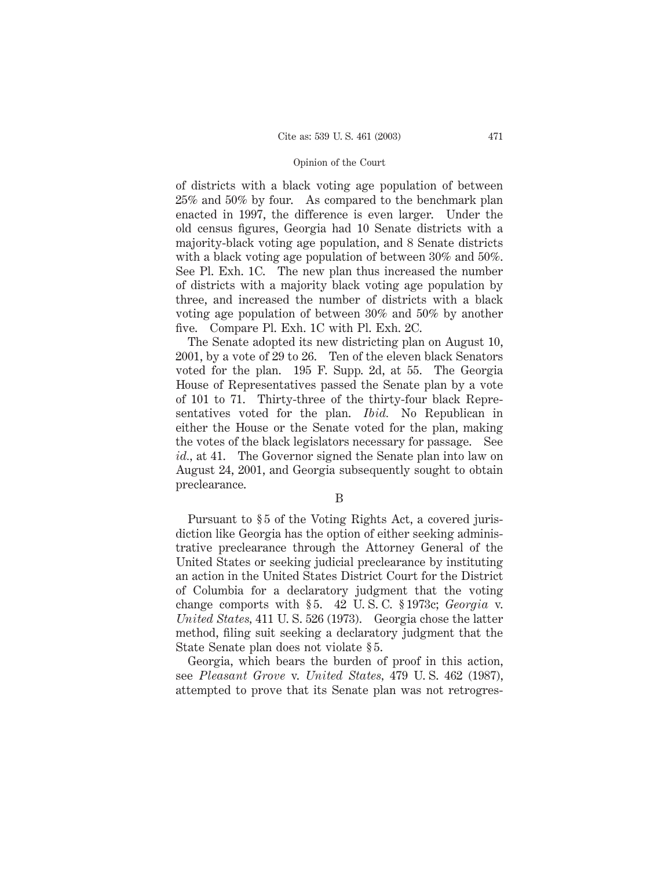of districts with a black voting age population of between 25% and 50% by four. As compared to the benchmark plan enacted in 1997, the difference is even larger. Under the old census figures, Georgia had 10 Senate districts with a majority-black voting age population, and 8 Senate districts with a black voting age population of between 30% and 50%. See Pl. Exh. 1C. The new plan thus increased the number of districts with a majority black voting age population by three, and increased the number of districts with a black voting age population of between 30% and 50% by another five. Compare Pl. Exh. 1C with Pl. Exh. 2C.

The Senate adopted its new districting plan on August 10, 2001, by a vote of 29 to 26. Ten of the eleven black Senators voted for the plan. 195 F. Supp. 2d, at 55. The Georgia House of Representatives passed the Senate plan by a vote of 101 to 71. Thirty-three of the thirty-four black Representatives voted for the plan. *Ibid.* No Republican in either the House or the Senate voted for the plan, making the votes of the black legislators necessary for passage. See *id.,* at 41. The Governor signed the Senate plan into law on August 24, 2001, and Georgia subsequently sought to obtain preclearance.

B

Pursuant to § 5 of the Voting Rights Act, a covered jurisdiction like Georgia has the option of either seeking administrative preclearance through the Attorney General of the United States or seeking judicial preclearance by instituting an action in the United States District Court for the District of Columbia for a declaratory judgment that the voting change comports with § 5. 42 U. S. C. § 1973c; *Georgia* v. *United States,* 411 U. S. 526 (1973). Georgia chose the latter method, filing suit seeking a declaratory judgment that the State Senate plan does not violate § 5.

Georgia, which bears the burden of proof in this action, see *Pleasant Grove* v. *United States,* 479 U. S. 462 (1987), attempted to prove that its Senate plan was not retrogres-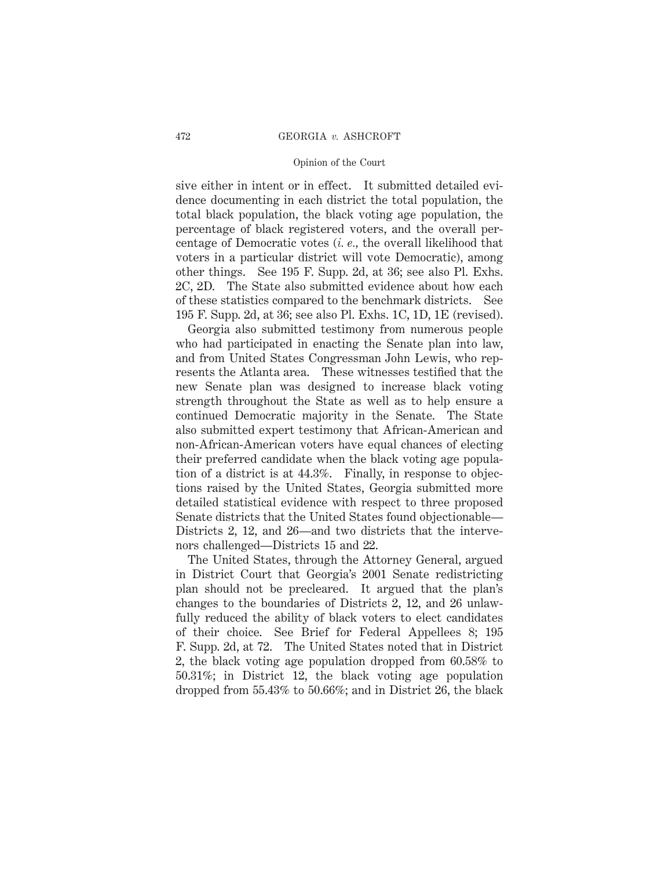sive either in intent or in effect. It submitted detailed evidence documenting in each district the total population, the total black population, the black voting age population, the percentage of black registered voters, and the overall percentage of Democratic votes (*i. e.,* the overall likelihood that voters in a particular district will vote Democratic), among other things. See 195 F. Supp. 2d, at 36; see also Pl. Exhs. 2C, 2D. The State also submitted evidence about how each of these statistics compared to the benchmark districts. See 195 F. Supp. 2d, at 36; see also Pl. Exhs. 1C, 1D, 1E (revised).

Georgia also submitted testimony from numerous people who had participated in enacting the Senate plan into law, and from United States Congressman John Lewis, who represents the Atlanta area. These witnesses testified that the new Senate plan was designed to increase black voting strength throughout the State as well as to help ensure a continued Democratic majority in the Senate. The State also submitted expert testimony that African-American and non-African-American voters have equal chances of electing their preferred candidate when the black voting age population of a district is at 44.3%. Finally, in response to objections raised by the United States, Georgia submitted more detailed statistical evidence with respect to three proposed Senate districts that the United States found objectionable— Districts 2, 12, and 26—and two districts that the intervenors challenged—Districts 15 and 22.

The United States, through the Attorney General, argued in District Court that Georgia's 2001 Senate redistricting plan should not be precleared. It argued that the plan's changes to the boundaries of Districts 2, 12, and 26 unlawfully reduced the ability of black voters to elect candidates of their choice. See Brief for Federal Appellees 8; 195 F. Supp. 2d, at 72. The United States noted that in District 2, the black voting age population dropped from 60.58% to 50.31%; in District 12, the black voting age population dropped from 55.43% to 50.66%; and in District 26, the black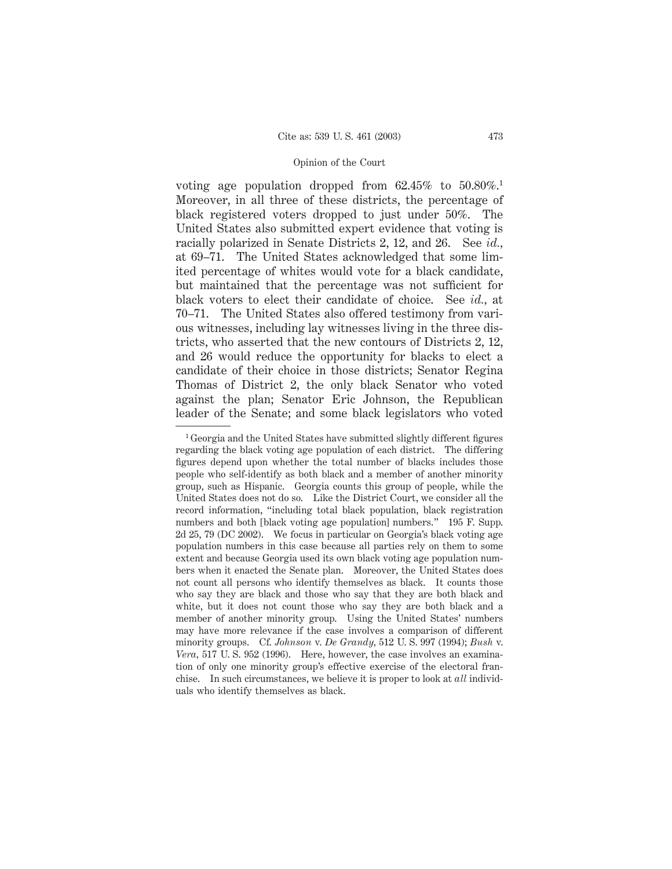voting age population dropped from 62.45% to 50.80%.<sup>1</sup> Moreover, in all three of these districts, the percentage of black registered voters dropped to just under 50%. The United States also submitted expert evidence that voting is racially polarized in Senate Districts 2, 12, and 26. See *id.,* at 69–71. The United States acknowledged that some limited percentage of whites would vote for a black candidate, but maintained that the percentage was not sufficient for black voters to elect their candidate of choice. See *id.,* at 70–71. The United States also offered testimony from various witnesses, including lay witnesses living in the three districts, who asserted that the new contours of Districts 2, 12, and 26 would reduce the opportunity for blacks to elect a candidate of their choice in those districts; Senator Regina Thomas of District 2, the only black Senator who voted against the plan; Senator Eric Johnson, the Republican leader of the Senate; and some black legislators who voted

<sup>1</sup> Georgia and the United States have submitted slightly different figures regarding the black voting age population of each district. The differing figures depend upon whether the total number of blacks includes those people who self-identify as both black and a member of another minority group, such as Hispanic. Georgia counts this group of people, while the United States does not do so. Like the District Court, we consider all the record information, "including total black population, black registration numbers and both [black voting age population] numbers." 195 F. Supp. 2d 25, 79 (DC 2002). We focus in particular on Georgia's black voting age population numbers in this case because all parties rely on them to some extent and because Georgia used its own black voting age population numbers when it enacted the Senate plan. Moreover, the United States does not count all persons who identify themselves as black. It counts those who say they are black and those who say that they are both black and white, but it does not count those who say they are both black and a member of another minority group. Using the United States' numbers may have more relevance if the case involves a comparison of different minority groups. Cf. *Johnson* v. *De Grandy,* 512 U. S. 997 (1994); *Bush* v. *Vera,* 517 U. S. 952 (1996). Here, however, the case involves an examination of only one minority group's effective exercise of the electoral franchise. In such circumstances, we believe it is proper to look at *all* individuals who identify themselves as black.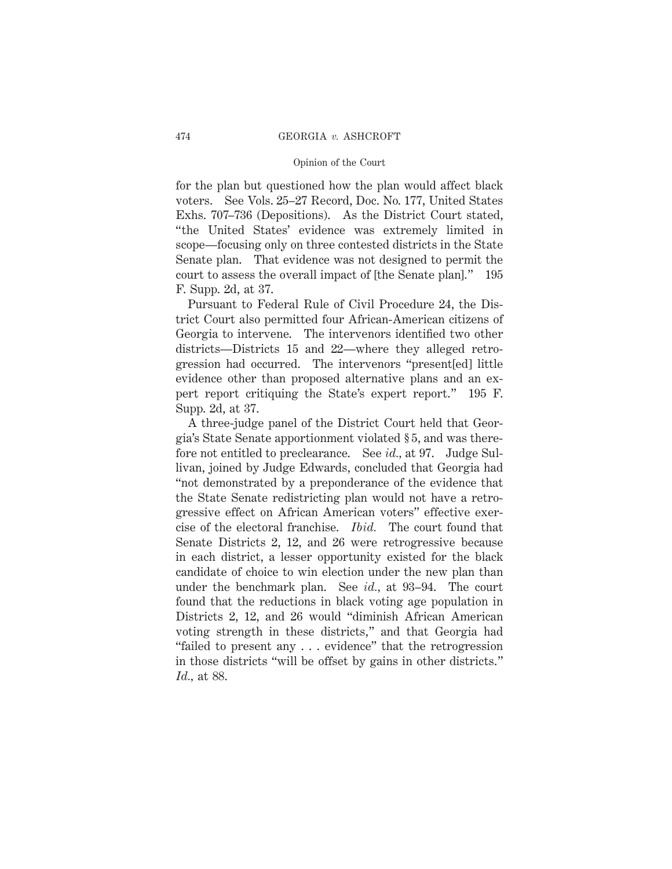for the plan but questioned how the plan would affect black voters. See Vols. 25–27 Record, Doc. No. 177, United States Exhs. 707–736 (Depositions). As the District Court stated, "the United States' evidence was extremely limited in scope—focusing only on three contested districts in the State Senate plan. That evidence was not designed to permit the court to assess the overall impact of [the Senate plan]." 195 F. Supp. 2d, at 37.

Pursuant to Federal Rule of Civil Procedure 24, the District Court also permitted four African-American citizens of Georgia to intervene. The intervenors identified two other districts—Districts 15 and 22—where they alleged retrogression had occurred. The intervenors "present[ed] little evidence other than proposed alternative plans and an expert report critiquing the State's expert report." 195 F. Supp. 2d, at 37.

A three-judge panel of the District Court held that Georgia's State Senate apportionment violated § 5, and was therefore not entitled to preclearance. See *id.,* at 97. Judge Sullivan, joined by Judge Edwards, concluded that Georgia had "not demonstrated by a preponderance of the evidence that the State Senate redistricting plan would not have a retrogressive effect on African American voters" effective exercise of the electoral franchise. *Ibid.* The court found that Senate Districts 2, 12, and 26 were retrogressive because in each district, a lesser opportunity existed for the black candidate of choice to win election under the new plan than under the benchmark plan. See *id.,* at 93–94. The court found that the reductions in black voting age population in Districts 2, 12, and 26 would "diminish African American voting strength in these districts," and that Georgia had "failed to present any . . . evidence" that the retrogression in those districts "will be offset by gains in other districts." *Id.,* at 88.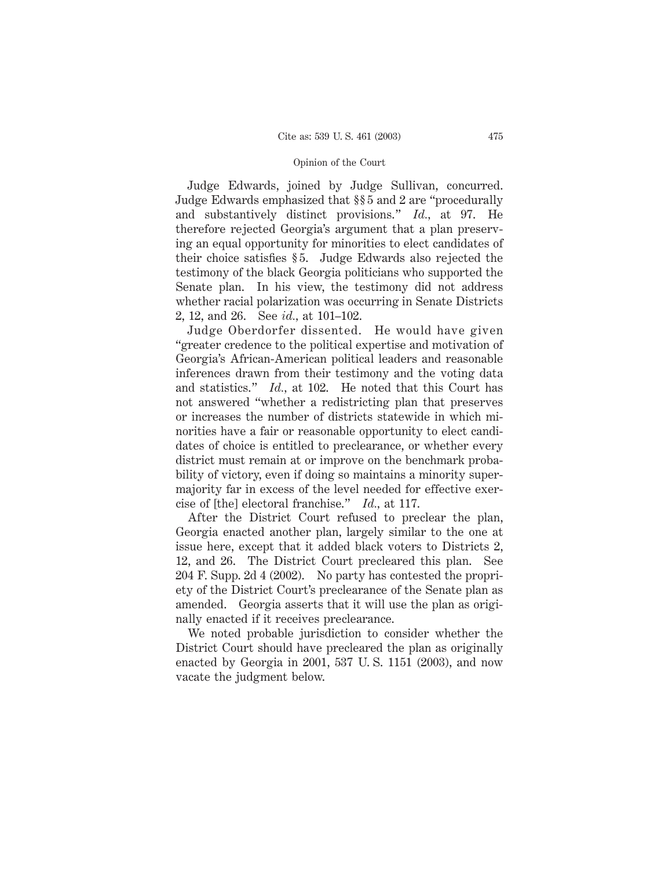Judge Edwards, joined by Judge Sullivan, concurred. Judge Edwards emphasized that §§ 5 and 2 are "procedurally and substantively distinct provisions." *Id.,* at 97. He therefore rejected Georgia's argument that a plan preserving an equal opportunity for minorities to elect candidates of their choice satisfies § 5. Judge Edwards also rejected the testimony of the black Georgia politicians who supported the Senate plan. In his view, the testimony did not address whether racial polarization was occurring in Senate Districts 2, 12, and 26. See *id.,* at 101–102.

Judge Oberdorfer dissented. He would have given "greater credence to the political expertise and motivation of Georgia's African-American political leaders and reasonable inferences drawn from their testimony and the voting data and statistics." *Id.,* at 102. He noted that this Court has not answered "whether a redistricting plan that preserves or increases the number of districts statewide in which minorities have a fair or reasonable opportunity to elect candidates of choice is entitled to preclearance, or whether every district must remain at or improve on the benchmark probability of victory, even if doing so maintains a minority supermajority far in excess of the level needed for effective exercise of [the] electoral franchise." *Id.,* at 117.

After the District Court refused to preclear the plan, Georgia enacted another plan, largely similar to the one at issue here, except that it added black voters to Districts 2, 12, and 26. The District Court precleared this plan. See 204 F. Supp. 2d 4 (2002). No party has contested the propriety of the District Court's preclearance of the Senate plan as amended. Georgia asserts that it will use the plan as originally enacted if it receives preclearance.

We noted probable jurisdiction to consider whether the District Court should have precleared the plan as originally enacted by Georgia in 2001, 537 U. S. 1151 (2003), and now vacate the judgment below.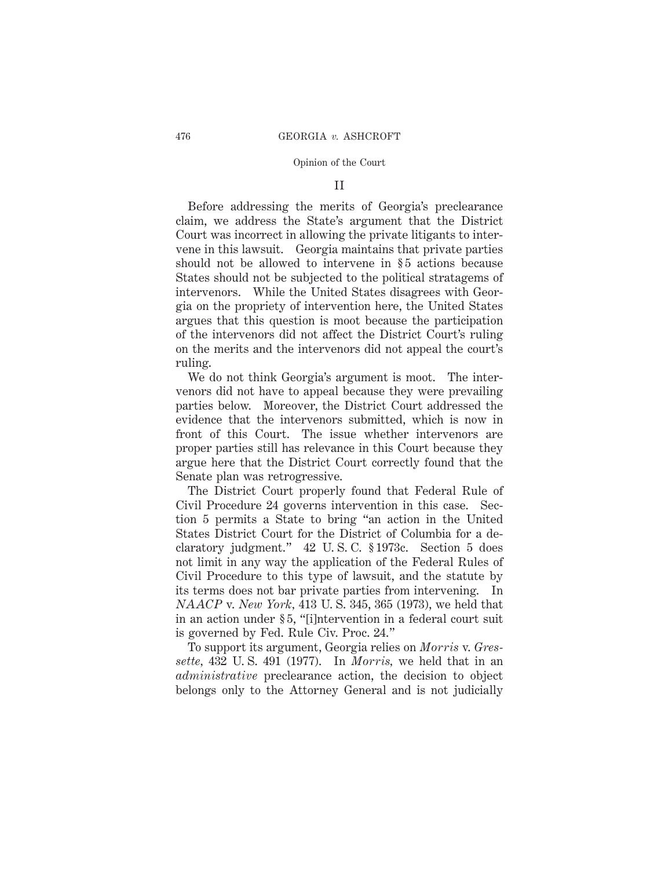### II

Before addressing the merits of Georgia's preclearance claim, we address the State's argument that the District Court was incorrect in allowing the private litigants to intervene in this lawsuit. Georgia maintains that private parties should not be allowed to intervene in  $\S 5$  actions because States should not be subjected to the political stratagems of intervenors. While the United States disagrees with Georgia on the propriety of intervention here, the United States argues that this question is moot because the participation of the intervenors did not affect the District Court's ruling on the merits and the intervenors did not appeal the court's ruling.

We do not think Georgia's argument is moot. The intervenors did not have to appeal because they were prevailing parties below. Moreover, the District Court addressed the evidence that the intervenors submitted, which is now in front of this Court. The issue whether intervenors are proper parties still has relevance in this Court because they argue here that the District Court correctly found that the Senate plan was retrogressive.

The District Court properly found that Federal Rule of Civil Procedure 24 governs intervention in this case. Section 5 permits a State to bring "an action in the United States District Court for the District of Columbia for a declaratory judgment." 42 U. S. C. § 1973c. Section 5 does not limit in any way the application of the Federal Rules of Civil Procedure to this type of lawsuit, and the statute by its terms does not bar private parties from intervening. In *NAACP* v. *New York,* 413 U. S. 345, 365 (1973), we held that in an action under § 5, "[i]ntervention in a federal court suit is governed by Fed. Rule Civ. Proc. 24."

To support its argument, Georgia relies on *Morris* v. *Gressette,* 432 U. S. 491 (1977). In *Morris,* we held that in an *administrative* preclearance action, the decision to object belongs only to the Attorney General and is not judicially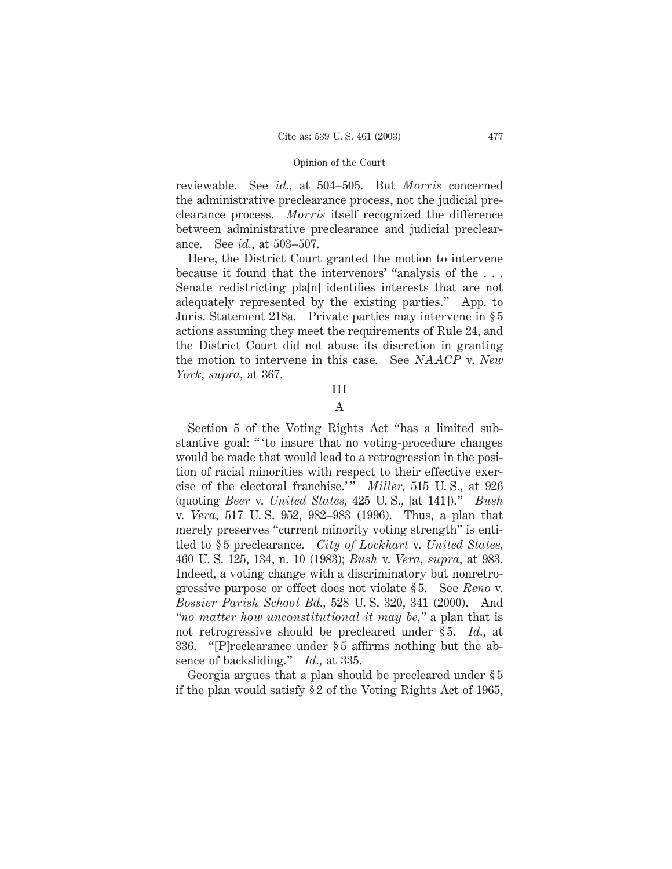reviewable. See *id.,* at 504–505. But *Morris* concerned the administrative preclearance process, not the judicial preclearance process. *Morris* itself recognized the difference between administrative preclearance and judicial preclearance. See *id.,* at 503–507.

Here, the District Court granted the motion to intervene because it found that the intervenors' "analysis of the . . . Senate redistricting pla[n] identifies interests that are not adequately represented by the existing parties." App. to Juris. Statement 218a. Private parties may intervene in § 5 actions assuming they meet the requirements of Rule 24, and the District Court did not abuse its discretion in granting the motion to intervene in this case. See *NAACP* v. *New York, supra,* at 367.

### III

# A

Section 5 of the Voting Rights Act "has a limited substantive goal: " 'to insure that no voting-procedure changes would be made that would lead to a retrogression in the position of racial minorities with respect to their effective exercise of the electoral franchise.'" *Miller*, 515 U.S., at 926 (quoting *Beer* v. *United States,* 425 U. S., [at 141])." *Bush* v. *Vera,* 517 U. S. 952, 982–983 (1996). Thus, a plan that merely preserves "current minority voting strength" is entitled to § 5 preclearance. *City of Lockhart* v. *United States,* 460 U. S. 125, 134, n. 10 (1983); *Bush* v. *Vera, supra,* at 983. Indeed, a voting change with a discriminatory but nonretrogressive purpose or effect does not violate § 5. See *Reno* v. *Bossier Parish School Bd.,* 528 U. S. 320, 341 (2000). And *"no matter how unconstitutional it may be,"* a plan that is not retrogressive should be precleared under § 5. *Id.,* at 336. "[P]reclearance under § 5 affirms nothing but the absence of backsliding." *Id.,* at 335.

Georgia argues that a plan should be precleared under § 5 if the plan would satisfy § 2 of the Voting Rights Act of 1965,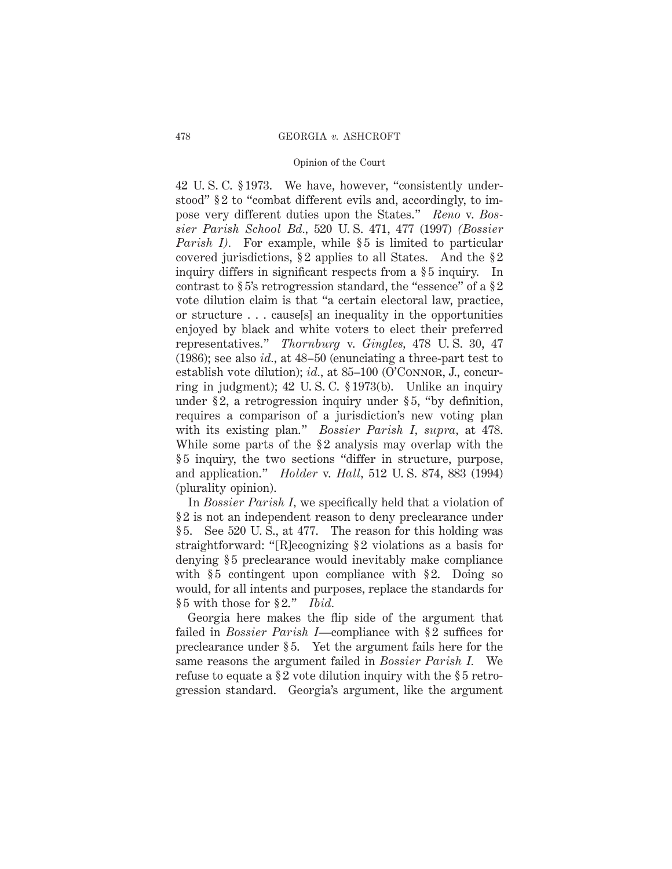42 U. S. C. § 1973. We have, however, "consistently understood" § 2 to "combat different evils and, accordingly, to impose very different duties upon the States." *Reno* v. *Bossier Parish School Bd.,* 520 U. S. 471, 477 (1997) *(Bossier Parish I).* For example, while § 5 is limited to particular covered jurisdictions, § 2 applies to all States. And the § 2 inquiry differs in significant respects from a §5 inquiry. In contrast to § 5's retrogression standard, the "essence" of a § 2 vote dilution claim is that "a certain electoral law, practice, or structure . . . cause[s] an inequality in the opportunities enjoyed by black and white voters to elect their preferred representatives." *Thornburg* v. *Gingles,* 478 U. S. 30, 47 (1986); see also *id.,* at 48–50 (enunciating a three-part test to establish vote dilution); *id.*, at 85–100 (O'CONNOR, J., concurring in judgment); 42 U. S. C. § 1973(b). Unlike an inquiry under § 2, a retrogression inquiry under § 5, "by definition, requires a comparison of a jurisdiction's new voting plan with its existing plan." *Bossier Parish I, supra,* at 478. While some parts of the §2 analysis may overlap with the § 5 inquiry, the two sections "differ in structure, purpose, and application." *Holder* v. *Hall,* 512 U. S. 874, 883 (1994) (plurality opinion).

In *Bossier Parish I,* we specifically held that a violation of § 2 is not an independent reason to deny preclearance under § 5. See 520 U. S., at 477. The reason for this holding was straightforward: "[R]ecognizing § 2 violations as a basis for denying § 5 preclearance would inevitably make compliance with  $§ 5$  contingent upon compliance with  $§ 2$ . Doing so would, for all intents and purposes, replace the standards for § 5 with those for § 2." *Ibid.*

Georgia here makes the flip side of the argument that failed in *Bossier Parish I*—compliance with §2 suffices for preclearance under § 5. Yet the argument fails here for the same reasons the argument failed in *Bossier Parish I.* We refuse to equate a §2 vote dilution inquiry with the §5 retrogression standard. Georgia's argument, like the argument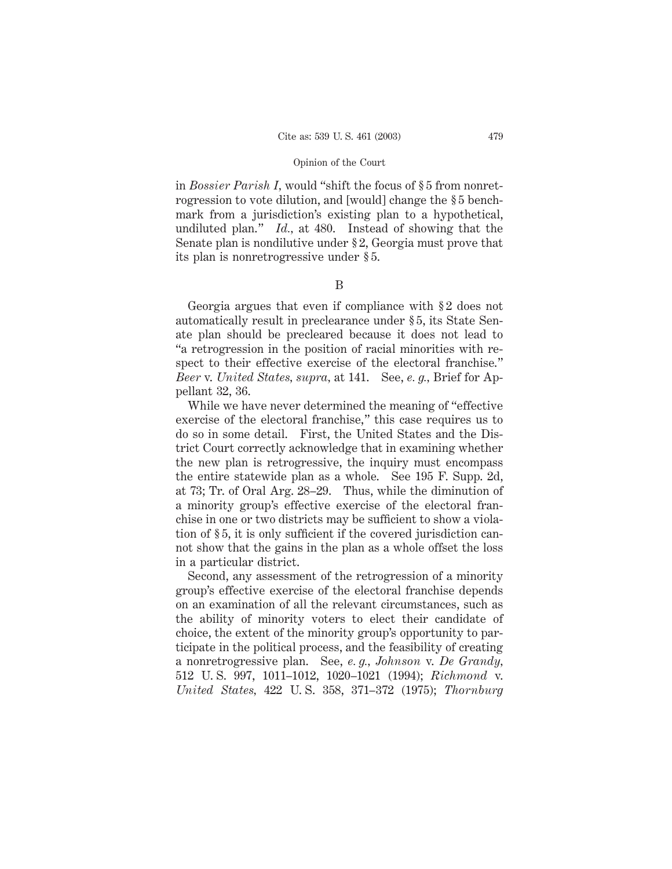in *Bossier Parish I,* would "shift the focus of § 5 from nonretrogression to vote dilution, and [would] change the § 5 benchmark from a jurisdiction's existing plan to a hypothetical, undiluted plan." *Id.,* at 480. Instead of showing that the Senate plan is nondilutive under § 2, Georgia must prove that its plan is nonretrogressive under § 5.

# B

Georgia argues that even if compliance with § 2 does not automatically result in preclearance under § 5, its State Senate plan should be precleared because it does not lead to "a retrogression in the position of racial minorities with respect to their effective exercise of the electoral franchise." *Beer* v. *United States, supra,* at 141. See, *e. g.,* Brief for Appellant 32, 36.

While we have never determined the meaning of "effective exercise of the electoral franchise," this case requires us to do so in some detail. First, the United States and the District Court correctly acknowledge that in examining whether the new plan is retrogressive, the inquiry must encompass the entire statewide plan as a whole. See 195 F. Supp. 2d, at 73; Tr. of Oral Arg. 28–29. Thus, while the diminution of a minority group's effective exercise of the electoral franchise in one or two districts may be sufficient to show a violation of § 5, it is only sufficient if the covered jurisdiction cannot show that the gains in the plan as a whole offset the loss in a particular district.

Second, any assessment of the retrogression of a minority group's effective exercise of the electoral franchise depends on an examination of all the relevant circumstances, such as the ability of minority voters to elect their candidate of choice, the extent of the minority group's opportunity to participate in the political process, and the feasibility of creating a nonretrogressive plan. See, *e. g., Johnson* v. *De Grandy,* 512 U. S. 997, 1011–1012, 1020–1021 (1994); *Richmond* v. *United States,* 422 U. S. 358, 371–372 (1975); *Thornburg*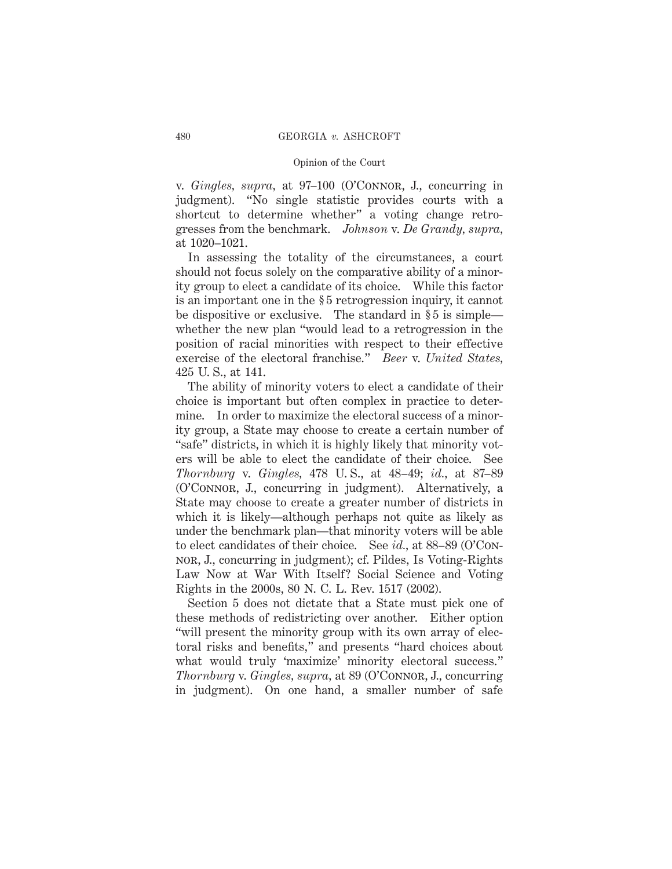v. *Gingles, supra,* at 97–100 (O'Connor, J., concurring in judgment). "No single statistic provides courts with a shortcut to determine whether" a voting change retrogresses from the benchmark. *Johnson* v. *De Grandy, supra,* at 1020–1021.

In assessing the totality of the circumstances, a court should not focus solely on the comparative ability of a minority group to elect a candidate of its choice. While this factor is an important one in the § 5 retrogression inquiry, it cannot be dispositive or exclusive. The standard in § 5 is simple whether the new plan "would lead to a retrogression in the position of racial minorities with respect to their effective exercise of the electoral franchise." *Beer* v. *United States,* 425 U. S., at 141.

The ability of minority voters to elect a candidate of their choice is important but often complex in practice to determine. In order to maximize the electoral success of a minority group, a State may choose to create a certain number of "safe" districts, in which it is highly likely that minority voters will be able to elect the candidate of their choice. See *Thornburg* v. *Gingles,* 478 U. S., at 48–49; *id.,* at 87–89 (O'Connor, J., concurring in judgment). Alternatively, a State may choose to create a greater number of districts in which it is likely—although perhaps not quite as likely as under the benchmark plan—that minority voters will be able to elect candidates of their choice. See *id.,* at 88–89 (O'Connor, J., concurring in judgment); cf. Pildes, Is Voting-Rights Law Now at War With Itself? Social Science and Voting Rights in the 2000s, 80 N. C. L. Rev. 1517 (2002).

Section 5 does not dictate that a State must pick one of these methods of redistricting over another. Either option "will present the minority group with its own array of electoral risks and benefits," and presents "hard choices about what would truly 'maximize' minority electoral success." *Thornburg* v. *Gingles, supra,* at 89 (O'Connor, J., concurring in judgment). On one hand, a smaller number of safe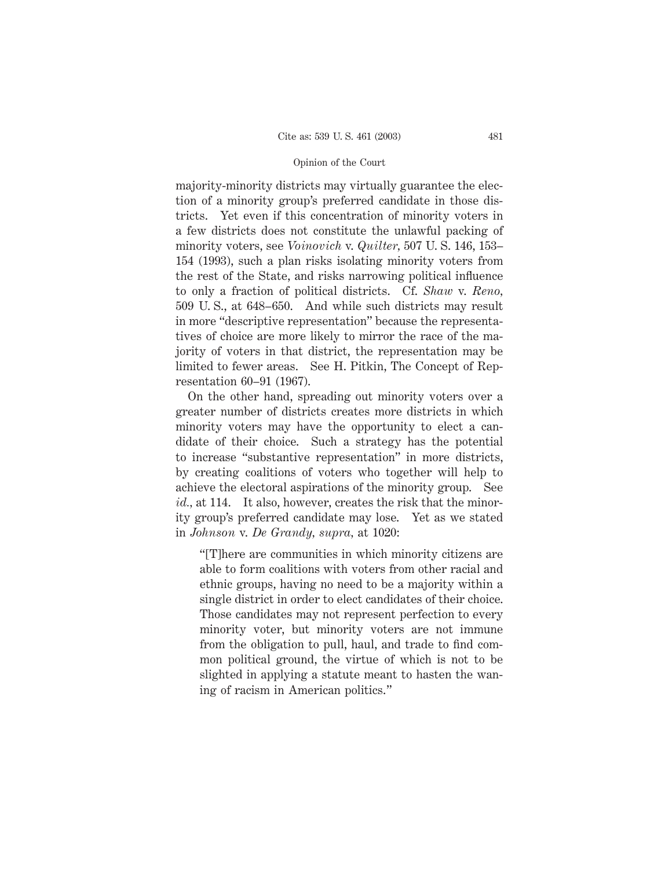majority-minority districts may virtually guarantee the election of a minority group's preferred candidate in those districts. Yet even if this concentration of minority voters in a few districts does not constitute the unlawful packing of minority voters, see *Voinovich* v. *Quilter,* 507 U. S. 146, 153– 154 (1993), such a plan risks isolating minority voters from the rest of the State, and risks narrowing political influence to only a fraction of political districts. Cf. *Shaw* v. *Reno,* 509 U. S., at 648–650. And while such districts may result in more "descriptive representation" because the representatives of choice are more likely to mirror the race of the majority of voters in that district, the representation may be limited to fewer areas. See H. Pitkin, The Concept of Representation 60–91 (1967).

On the other hand, spreading out minority voters over a greater number of districts creates more districts in which minority voters may have the opportunity to elect a candidate of their choice. Such a strategy has the potential to increase "substantive representation" in more districts, by creating coalitions of voters who together will help to achieve the electoral aspirations of the minority group. See *id.,* at 114. It also, however, creates the risk that the minority group's preferred candidate may lose. Yet as we stated in *Johnson* v. *De Grandy, supra,* at 1020:

"[T]here are communities in which minority citizens are able to form coalitions with voters from other racial and ethnic groups, having no need to be a majority within a single district in order to elect candidates of their choice. Those candidates may not represent perfection to every minority voter, but minority voters are not immune from the obligation to pull, haul, and trade to find common political ground, the virtue of which is not to be slighted in applying a statute meant to hasten the waning of racism in American politics."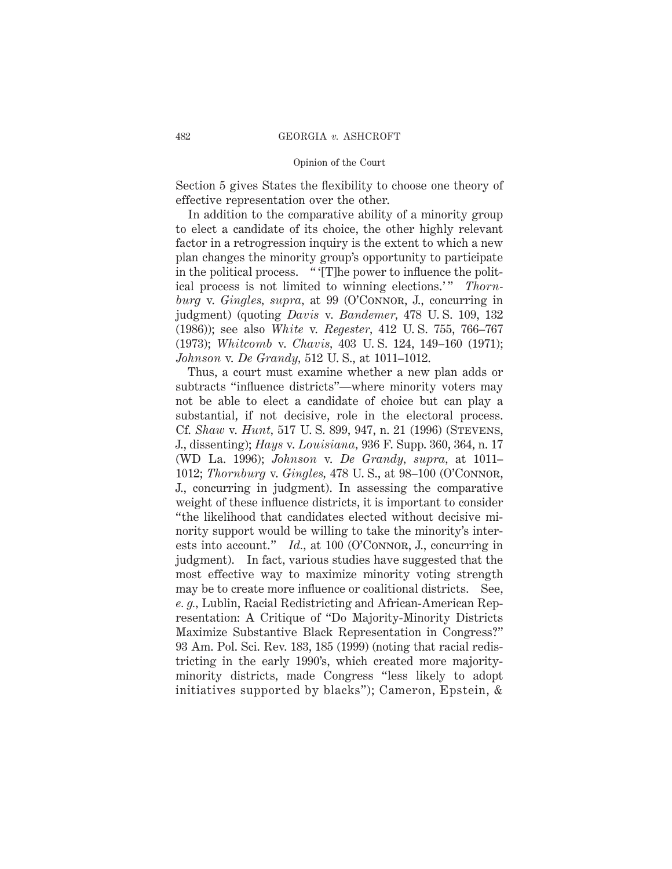Section 5 gives States the flexibility to choose one theory of effective representation over the other.

In addition to the comparative ability of a minority group to elect a candidate of its choice, the other highly relevant factor in a retrogression inquiry is the extent to which a new plan changes the minority group's opportunity to participate in the political process. " '[T]he power to influence the political process is not limited to winning elections.'" *Thornburg* v. *Gingles, supra,* at 99 (O'Connor, J., concurring in judgment) (quoting *Davis* v. *Bandemer,* 478 U. S. 109, 132 (1986)); see also *White* v. *Regester,* 412 U. S. 755, 766–767 (1973); *Whitcomb* v. *Chavis,* 403 U. S. 124, 149–160 (1971); *Johnson* v. *De Grandy,* 512 U. S., at 1011–1012.

Thus, a court must examine whether a new plan adds or subtracts "influence districts"—where minority voters may not be able to elect a candidate of choice but can play a substantial, if not decisive, role in the electoral process. Cf. *Shaw* v. *Hunt,* 517 U. S. 899, 947, n. 21 (1996) (Stevens, J., dissenting); *Hays* v. *Louisiana,* 936 F. Supp. 360, 364, n. 17 (WD La. 1996); *Johnson* v. *De Grandy, supra,* at 1011– 1012; *Thornburg* v. *Gingles,* 478 U. S., at 98–100 (O'Connor, J., concurring in judgment). In assessing the comparative weight of these influence districts, it is important to consider "the likelihood that candidates elected without decisive minority support would be willing to take the minority's interests into account." *Id.*, at 100 (O'CONNOR, J., concurring in judgment). In fact, various studies have suggested that the most effective way to maximize minority voting strength may be to create more influence or coalitional districts. See, *e. g.,* Lublin, Racial Redistricting and African-American Representation: A Critique of "Do Majority-Minority Districts Maximize Substantive Black Representation in Congress?" 93 Am. Pol. Sci. Rev. 183, 185 (1999) (noting that racial redistricting in the early 1990's, which created more majorityminority districts, made Congress "less likely to adopt initiatives supported by blacks"); Cameron, Epstein, &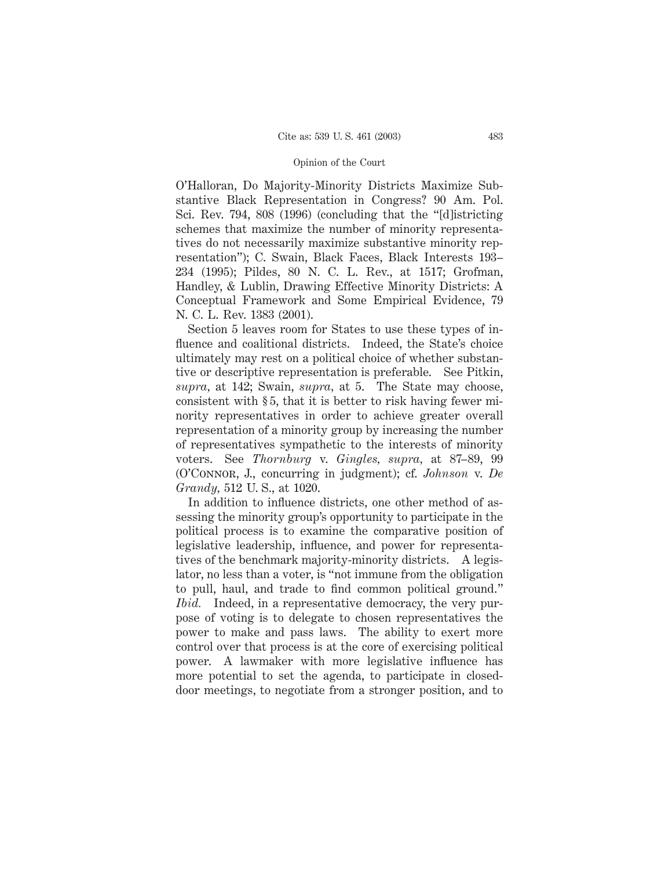O'Halloran, Do Majority-Minority Districts Maximize Substantive Black Representation in Congress? 90 Am. Pol. Sci. Rev. 794, 808 (1996) (concluding that the "[d]istricting schemes that maximize the number of minority representatives do not necessarily maximize substantive minority representation"); C. Swain, Black Faces, Black Interests 193– 234 (1995); Pildes, 80 N. C. L. Rev., at 1517; Grofman, Handley, & Lublin, Drawing Effective Minority Districts: A Conceptual Framework and Some Empirical Evidence, 79 N. C. L. Rev. 1383 (2001).

Section 5 leaves room for States to use these types of influence and coalitional districts. Indeed, the State's choice ultimately may rest on a political choice of whether substantive or descriptive representation is preferable. See Pitkin, *supra,* at 142; Swain, *supra,* at 5. The State may choose, consistent with § 5, that it is better to risk having fewer minority representatives in order to achieve greater overall representation of a minority group by increasing the number of representatives sympathetic to the interests of minority voters. See *Thornburg* v. *Gingles, supra,* at 87–89, 99 (O'Connor, J., concurring in judgment); cf. *Johnson* v. *De Grandy,* 512 U. S., at 1020.

In addition to influence districts, one other method of assessing the minority group's opportunity to participate in the political process is to examine the comparative position of legislative leadership, influence, and power for representatives of the benchmark majority-minority districts. A legislator, no less than a voter, is "not immune from the obligation to pull, haul, and trade to find common political ground." *Ibid.* Indeed, in a representative democracy, the very purpose of voting is to delegate to chosen representatives the power to make and pass laws. The ability to exert more control over that process is at the core of exercising political power. A lawmaker with more legislative influence has more potential to set the agenda, to participate in closeddoor meetings, to negotiate from a stronger position, and to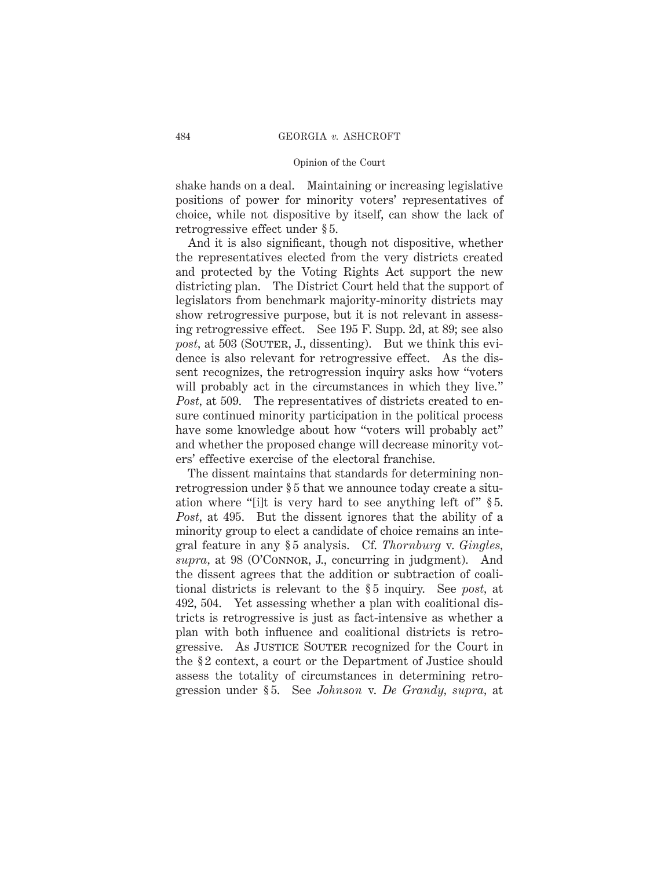shake hands on a deal. Maintaining or increasing legislative positions of power for minority voters' representatives of choice, while not dispositive by itself, can show the lack of retrogressive effect under § 5.

And it is also significant, though not dispositive, whether the representatives elected from the very districts created and protected by the Voting Rights Act support the new districting plan. The District Court held that the support of legislators from benchmark majority-minority districts may show retrogressive purpose, but it is not relevant in assessing retrogressive effect. See 195 F. Supp. 2d, at 89; see also *post,* at 503 (SOUTER, J., dissenting). But we think this evidence is also relevant for retrogressive effect. As the dissent recognizes, the retrogression inquiry asks how "voters will probably act in the circumstances in which they live." *Post,* at 509. The representatives of districts created to ensure continued minority participation in the political process have some knowledge about how "voters will probably act" and whether the proposed change will decrease minority voters' effective exercise of the electoral franchise.

The dissent maintains that standards for determining nonretrogression under § 5 that we announce today create a situation where "[i]t is very hard to see anything left of" § 5. *Post,* at 495. But the dissent ignores that the ability of a minority group to elect a candidate of choice remains an integral feature in any § 5 analysis. Cf. *Thornburg* v. *Gingles,* supra, at 98 (O'CONNOR, J., concurring in judgment). And the dissent agrees that the addition or subtraction of coalitional districts is relevant to the § 5 inquiry. See *post,* at 492, 504. Yet assessing whether a plan with coalitional districts is retrogressive is just as fact-intensive as whether a plan with both influence and coalitional districts is retrogressive. As JUSTICE SOUTER recognized for the Court in the § 2 context, a court or the Department of Justice should assess the totality of circumstances in determining retrogression under § 5. See *Johnson* v. *De Grandy, supra,* at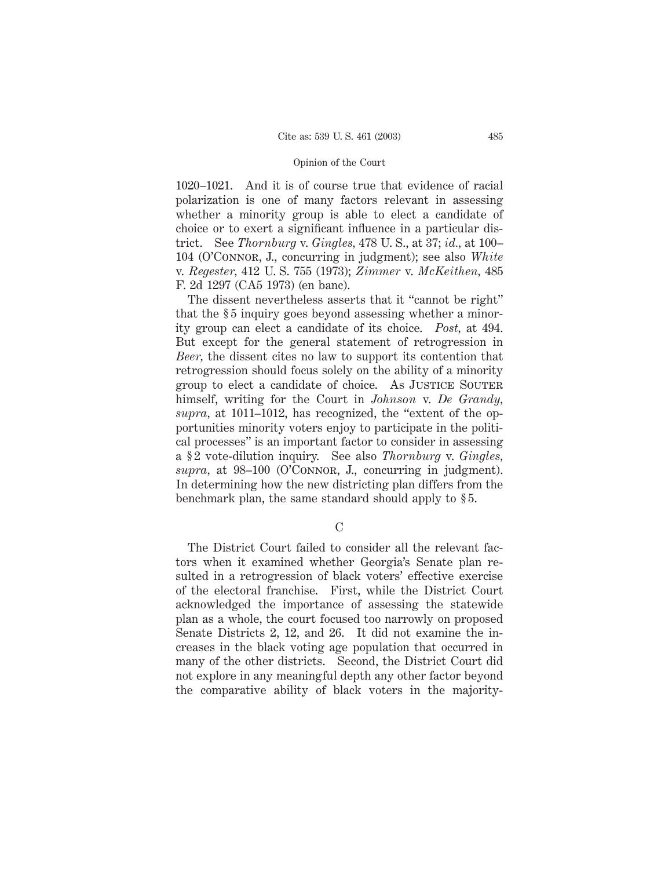1020–1021. And it is of course true that evidence of racial polarization is one of many factors relevant in assessing whether a minority group is able to elect a candidate of choice or to exert a significant influence in a particular district. See *Thornburg* v. *Gingles,* 478 U. S., at 37; *id.,* at 100– 104 (O'Connor, J., concurring in judgment); see also *White* v. *Regester,* 412 U. S. 755 (1973); *Zimmer* v. *McKeithen,* 485 F. 2d 1297 (CA5 1973) (en banc).

The dissent nevertheless asserts that it "cannot be right" that the § 5 inquiry goes beyond assessing whether a minority group can elect a candidate of its choice. *Post,* at 494. But except for the general statement of retrogression in *Beer,* the dissent cites no law to support its contention that retrogression should focus solely on the ability of a minority group to elect a candidate of choice. As JUSTICE SOUTER himself, writing for the Court in *Johnson* v. *De Grandy, supra,* at 1011–1012, has recognized, the "extent of the opportunities minority voters enjoy to participate in the political processes" is an important factor to consider in assessing a § 2 vote-dilution inquiry. See also *Thornburg* v. *Gingles,* supra, at 98–100 (O'CONNOR, J., concurring in judgment). In determining how the new districting plan differs from the benchmark plan, the same standard should apply to § 5.

 $\mathcal{C}$ 

The District Court failed to consider all the relevant factors when it examined whether Georgia's Senate plan resulted in a retrogression of black voters' effective exercise of the electoral franchise. First, while the District Court acknowledged the importance of assessing the statewide plan as a whole, the court focused too narrowly on proposed Senate Districts 2, 12, and 26. It did not examine the increases in the black voting age population that occurred in many of the other districts. Second, the District Court did not explore in any meaningful depth any other factor beyond the comparative ability of black voters in the majority-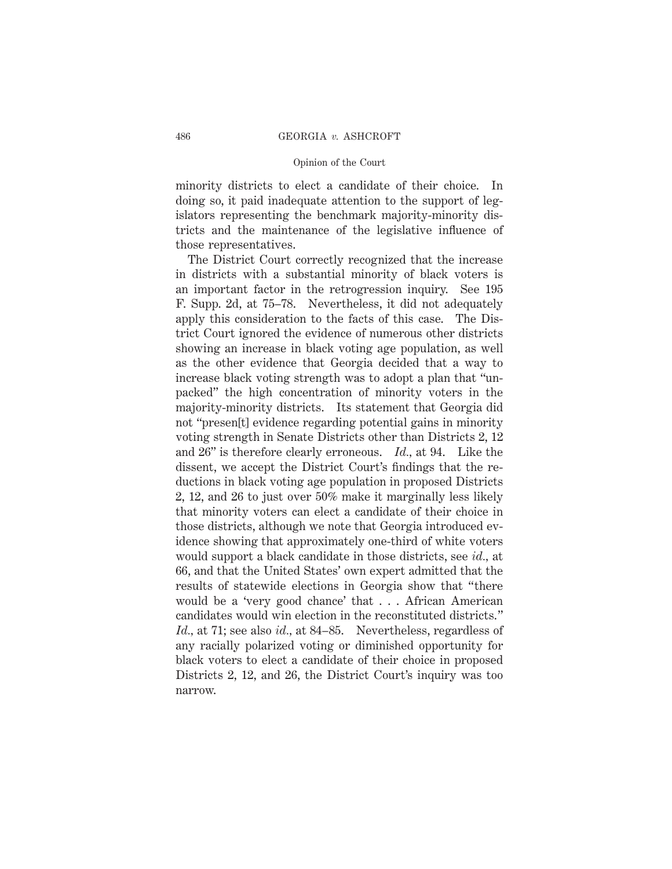minority districts to elect a candidate of their choice. In doing so, it paid inadequate attention to the support of legislators representing the benchmark majority-minority districts and the maintenance of the legislative influence of those representatives.

The District Court correctly recognized that the increase in districts with a substantial minority of black voters is an important factor in the retrogression inquiry. See 195 F. Supp. 2d, at 75–78. Nevertheless, it did not adequately apply this consideration to the facts of this case. The District Court ignored the evidence of numerous other districts showing an increase in black voting age population, as well as the other evidence that Georgia decided that a way to increase black voting strength was to adopt a plan that "unpacked" the high concentration of minority voters in the majority-minority districts. Its statement that Georgia did not "presen[t] evidence regarding potential gains in minority voting strength in Senate Districts other than Districts 2, 12 and 26" is therefore clearly erroneous. *Id.,* at 94. Like the dissent, we accept the District Court's findings that the reductions in black voting age population in proposed Districts 2, 12, and 26 to just over 50% make it marginally less likely that minority voters can elect a candidate of their choice in those districts, although we note that Georgia introduced evidence showing that approximately one-third of white voters would support a black candidate in those districts, see *id.,* at 66, and that the United States' own expert admitted that the results of statewide elections in Georgia show that "there would be a 'very good chance' that . . . African American candidates would win election in the reconstituted districts." *Id.,* at 71; see also *id.,* at 84–85. Nevertheless, regardless of any racially polarized voting or diminished opportunity for black voters to elect a candidate of their choice in proposed Districts 2, 12, and 26, the District Court's inquiry was too narrow.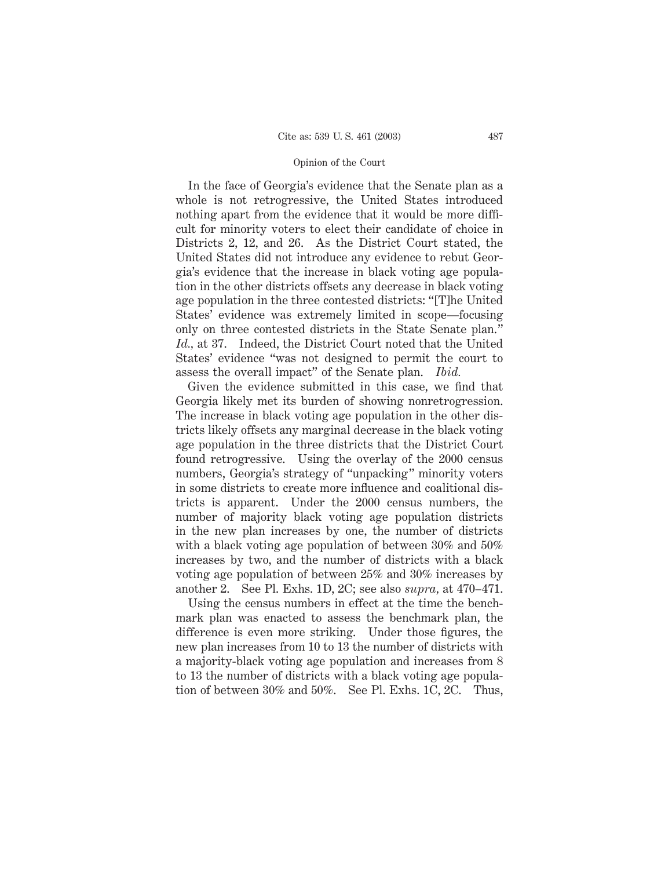In the face of Georgia's evidence that the Senate plan as a whole is not retrogressive, the United States introduced nothing apart from the evidence that it would be more difficult for minority voters to elect their candidate of choice in Districts 2, 12, and 26. As the District Court stated, the United States did not introduce any evidence to rebut Georgia's evidence that the increase in black voting age population in the other districts offsets any decrease in black voting age population in the three contested districts: "[T]he United States' evidence was extremely limited in scope—focusing only on three contested districts in the State Senate plan." *Id.,* at 37. Indeed, the District Court noted that the United States' evidence "was not designed to permit the court to assess the overall impact" of the Senate plan. *Ibid.*

Given the evidence submitted in this case, we find that Georgia likely met its burden of showing nonretrogression. The increase in black voting age population in the other districts likely offsets any marginal decrease in the black voting age population in the three districts that the District Court found retrogressive. Using the overlay of the 2000 census numbers, Georgia's strategy of "unpacking" minority voters in some districts to create more influence and coalitional districts is apparent. Under the 2000 census numbers, the number of majority black voting age population districts in the new plan increases by one, the number of districts with a black voting age population of between 30% and 50% increases by two, and the number of districts with a black voting age population of between 25% and 30% increases by another 2. See Pl. Exhs. 1D, 2C; see also *supra,* at 470–471.

Using the census numbers in effect at the time the benchmark plan was enacted to assess the benchmark plan, the difference is even more striking. Under those figures, the new plan increases from 10 to 13 the number of districts with a majority-black voting age population and increases from 8 to 13 the number of districts with a black voting age population of between 30% and 50%. See Pl. Exhs. 1C, 2C. Thus,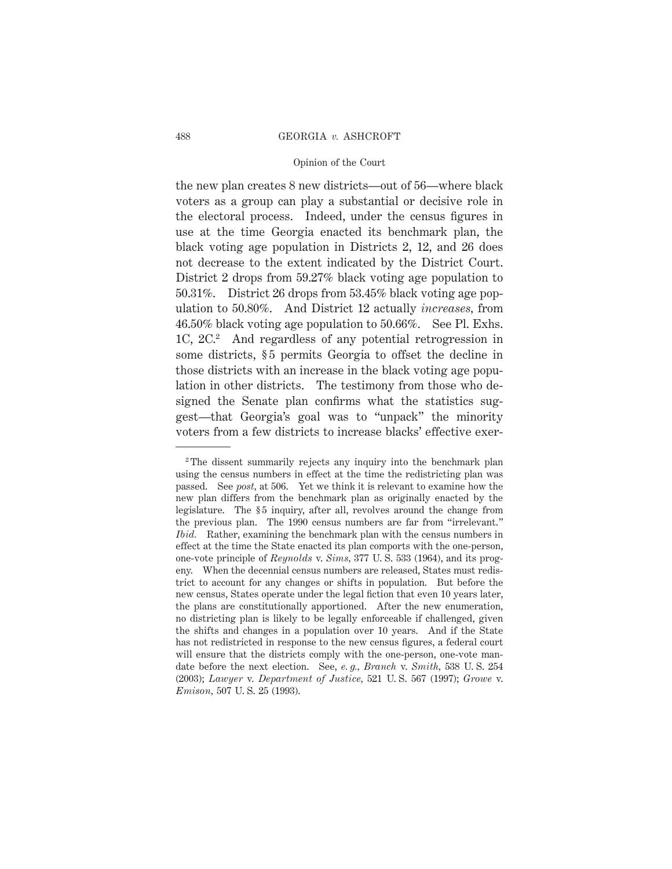the new plan creates 8 new districts—out of 56—where black voters as a group can play a substantial or decisive role in the electoral process. Indeed, under the census figures in use at the time Georgia enacted its benchmark plan, the black voting age population in Districts 2, 12, and 26 does not decrease to the extent indicated by the District Court. District 2 drops from 59.27% black voting age population to 50.31%. District 26 drops from 53.45% black voting age population to 50.80%. And District 12 actually *increases,* from 46.50% black voting age population to 50.66%. See Pl. Exhs. 1C, 2C.2 And regardless of any potential retrogression in some districts, §5 permits Georgia to offset the decline in those districts with an increase in the black voting age population in other districts. The testimony from those who designed the Senate plan confirms what the statistics suggest—that Georgia's goal was to "unpack" the minority voters from a few districts to increase blacks' effective exer-

<sup>2</sup> The dissent summarily rejects any inquiry into the benchmark plan using the census numbers in effect at the time the redistricting plan was passed. See *post,* at 506. Yet we think it is relevant to examine how the new plan differs from the benchmark plan as originally enacted by the legislature. The §5 inquiry, after all, revolves around the change from the previous plan. The 1990 census numbers are far from "irrelevant." *Ibid.* Rather, examining the benchmark plan with the census numbers in effect at the time the State enacted its plan comports with the one-person, one-vote principle of *Reynolds* v. *Sims,* 377 U. S. 533 (1964), and its progeny. When the decennial census numbers are released, States must redistrict to account for any changes or shifts in population. But before the new census, States operate under the legal fiction that even 10 years later, the plans are constitutionally apportioned. After the new enumeration, no districting plan is likely to be legally enforceable if challenged, given the shifts and changes in a population over 10 years. And if the State has not redistricted in response to the new census figures, a federal court will ensure that the districts comply with the one-person, one-vote mandate before the next election. See, *e. g., Branch* v. *Smith,* 538 U. S. 254 (2003); *Lawyer* v. *Department of Justice,* 521 U. S. 567 (1997); *Growe* v. *Emison,* 507 U. S. 25 (1993).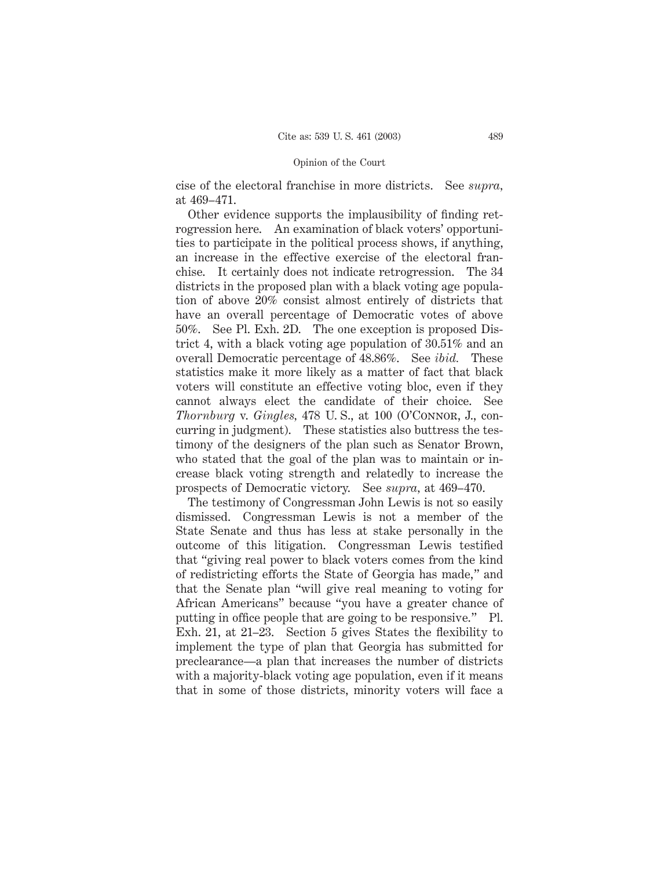cise of the electoral franchise in more districts. See *supra,* at 469–471.

Other evidence supports the implausibility of finding retrogression here. An examination of black voters' opportunities to participate in the political process shows, if anything, an increase in the effective exercise of the electoral franchise. It certainly does not indicate retrogression. The 34 districts in the proposed plan with a black voting age population of above 20% consist almost entirely of districts that have an overall percentage of Democratic votes of above 50%. See Pl. Exh. 2D. The one exception is proposed District 4, with a black voting age population of 30.51% and an overall Democratic percentage of 48.86%. See *ibid.* These statistics make it more likely as a matter of fact that black voters will constitute an effective voting bloc, even if they cannot always elect the candidate of their choice. See *Thornburg* v. *Gingles,* 478 U. S., at 100 (O'Connor, J., concurring in judgment). These statistics also buttress the testimony of the designers of the plan such as Senator Brown, who stated that the goal of the plan was to maintain or increase black voting strength and relatedly to increase the prospects of Democratic victory. See *supra,* at 469–470.

The testimony of Congressman John Lewis is not so easily dismissed. Congressman Lewis is not a member of the State Senate and thus has less at stake personally in the outcome of this litigation. Congressman Lewis testified that "giving real power to black voters comes from the kind of redistricting efforts the State of Georgia has made," and that the Senate plan "will give real meaning to voting for African Americans" because "you have a greater chance of putting in office people that are going to be responsive." Pl. Exh. 21, at 21–23. Section 5 gives States the flexibility to implement the type of plan that Georgia has submitted for preclearance—a plan that increases the number of districts with a majority-black voting age population, even if it means that in some of those districts, minority voters will face a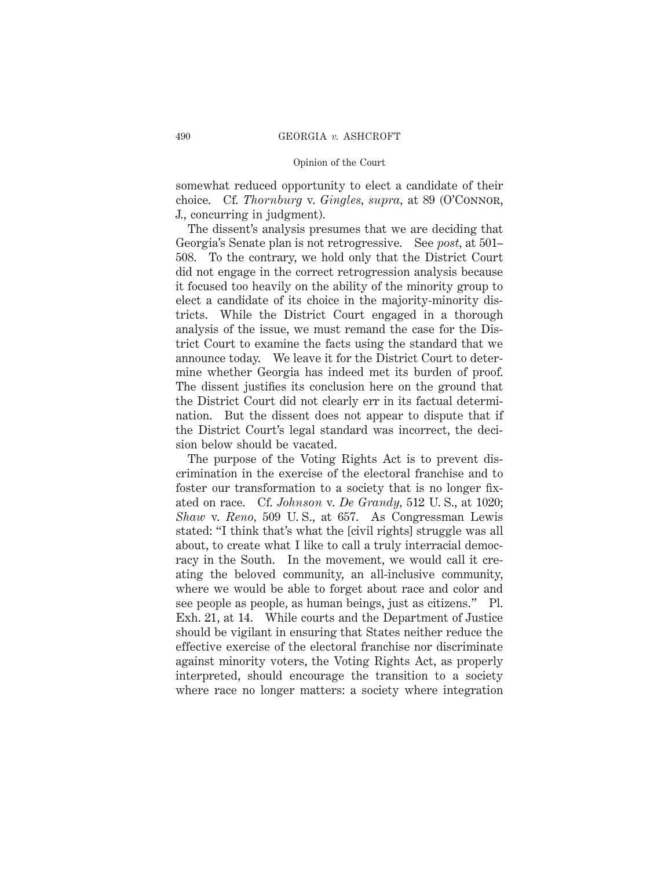somewhat reduced opportunity to elect a candidate of their choice. Cf. *Thornburg* v. *Gingles, supra,* at 89 (O'Connor, J., concurring in judgment).

The dissent's analysis presumes that we are deciding that Georgia's Senate plan is not retrogressive. See *post,* at 501– 508. To the contrary, we hold only that the District Court did not engage in the correct retrogression analysis because it focused too heavily on the ability of the minority group to elect a candidate of its choice in the majority-minority districts. While the District Court engaged in a thorough analysis of the issue, we must remand the case for the District Court to examine the facts using the standard that we announce today. We leave it for the District Court to determine whether Georgia has indeed met its burden of proof. The dissent justifies its conclusion here on the ground that the District Court did not clearly err in its factual determination. But the dissent does not appear to dispute that if the District Court's legal standard was incorrect, the decision below should be vacated.

The purpose of the Voting Rights Act is to prevent discrimination in the exercise of the electoral franchise and to foster our transformation to a society that is no longer fixated on race. Cf. *Johnson* v. *De Grandy,* 512 U. S., at 1020; *Shaw* v. *Reno,* 509 U. S., at 657. As Congressman Lewis stated: "I think that's what the [civil rights] struggle was all about, to create what I like to call a truly interracial democracy in the South. In the movement, we would call it creating the beloved community, an all-inclusive community, where we would be able to forget about race and color and see people as people, as human beings, just as citizens." Pl. Exh. 21, at 14. While courts and the Department of Justice should be vigilant in ensuring that States neither reduce the effective exercise of the electoral franchise nor discriminate against minority voters, the Voting Rights Act, as properly interpreted, should encourage the transition to a society where race no longer matters: a society where integration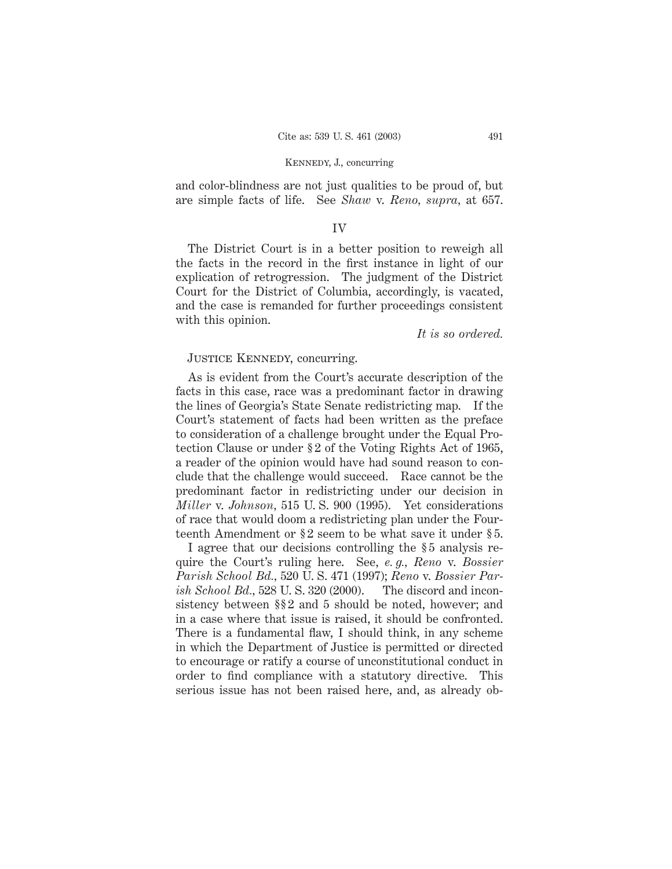### Kennedy, J., concurring

and color-blindness are not just qualities to be proud of, but are simple facts of life. See *Shaw* v. *Reno, supra,* at 657.

# IV

The District Court is in a better position to reweigh all the facts in the record in the first instance in light of our explication of retrogression. The judgment of the District Court for the District of Columbia, accordingly, is vacated, and the case is remanded for further proceedings consistent with this opinion.

*It is so ordered.*

# JUSTICE KENNEDY, concurring.

As is evident from the Court's accurate description of the facts in this case, race was a predominant factor in drawing the lines of Georgia's State Senate redistricting map. If the Court's statement of facts had been written as the preface to consideration of a challenge brought under the Equal Protection Clause or under § 2 of the Voting Rights Act of 1965, a reader of the opinion would have had sound reason to conclude that the challenge would succeed. Race cannot be the predominant factor in redistricting under our decision in *Miller* v. *Johnson,* 515 U. S. 900 (1995). Yet considerations of race that would doom a redistricting plan under the Fourteenth Amendment or § 2 seem to be what save it under § 5.

I agree that our decisions controlling the § 5 analysis require the Court's ruling here. See, *e. g., Reno* v. *Bossier Parish School Bd.,* 520 U. S. 471 (1997); *Reno* v. *Bossier Parish School Bd.,* 528 U. S. 320 (2000). The discord and inconsistency between §§ 2 and 5 should be noted, however; and in a case where that issue is raised, it should be confronted. There is a fundamental flaw, I should think, in any scheme in which the Department of Justice is permitted or directed to encourage or ratify a course of unconstitutional conduct in order to find compliance with a statutory directive. This serious issue has not been raised here, and, as already ob-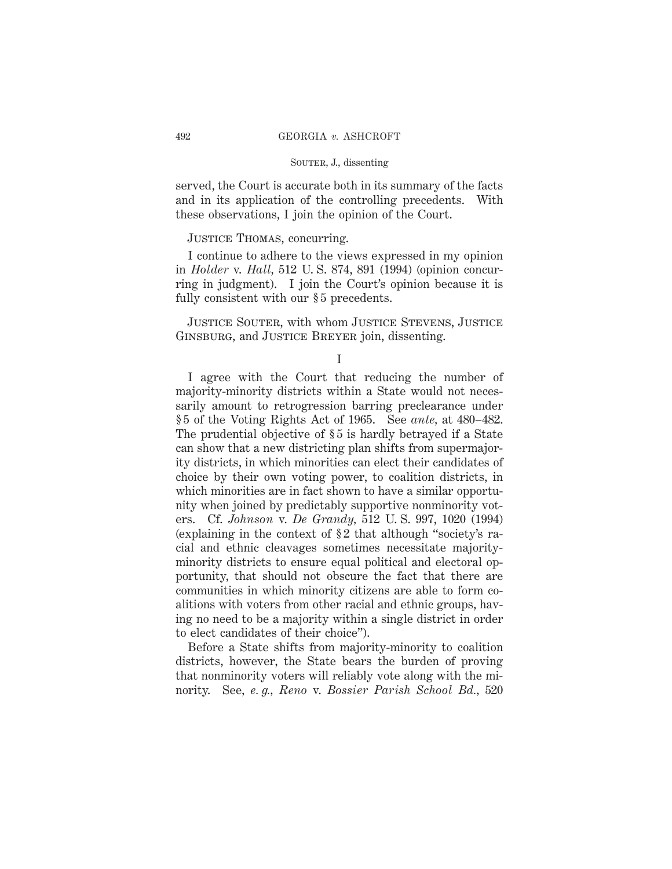served, the Court is accurate both in its summary of the facts and in its application of the controlling precedents. With these observations, I join the opinion of the Court.

# JUSTICE THOMAS, concurring.

I continue to adhere to the views expressed in my opinion in *Holder* v. *Hall,* 512 U. S. 874, 891 (1994) (opinion concurring in judgment). I join the Court's opinion because it is fully consistent with our §5 precedents.

Justice Souter, with whom Justice Stevens, Justice Ginsburg, and Justice Breyer join, dissenting.

I

I agree with the Court that reducing the number of majority-minority districts within a State would not necessarily amount to retrogression barring preclearance under § 5 of the Voting Rights Act of 1965. See *ante,* at 480–482. The prudential objective of §5 is hardly betrayed if a State can show that a new districting plan shifts from supermajority districts, in which minorities can elect their candidates of choice by their own voting power, to coalition districts, in which minorities are in fact shown to have a similar opportunity when joined by predictably supportive nonminority voters. Cf. *Johnson* v. *De Grandy,* 512 U. S. 997, 1020 (1994) (explaining in the context of § 2 that although "society's racial and ethnic cleavages sometimes necessitate majorityminority districts to ensure equal political and electoral opportunity, that should not obscure the fact that there are communities in which minority citizens are able to form coalitions with voters from other racial and ethnic groups, having no need to be a majority within a single district in order to elect candidates of their choice").

Before a State shifts from majority-minority to coalition districts, however, the State bears the burden of proving that nonminority voters will reliably vote along with the minority. See, *e. g., Reno* v. *Bossier Parish School Bd.,* 520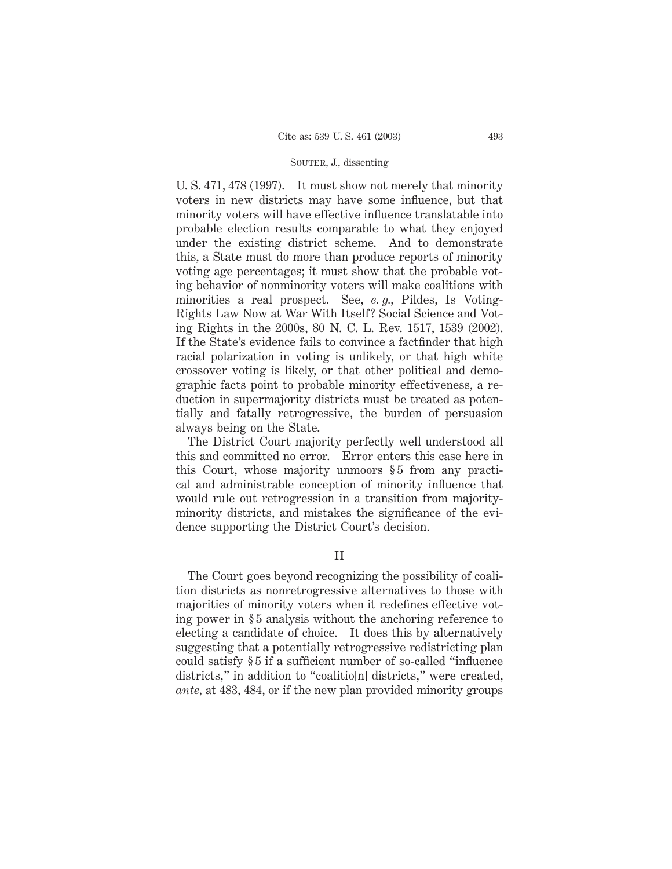U. S. 471, 478 (1997). It must show not merely that minority voters in new districts may have some influence, but that minority voters will have effective influence translatable into probable election results comparable to what they enjoyed under the existing district scheme. And to demonstrate this, a State must do more than produce reports of minority voting age percentages; it must show that the probable voting behavior of nonminority voters will make coalitions with minorities a real prospect. See, *e. g.,* Pildes, Is Voting-Rights Law Now at War With Itself? Social Science and Voting Rights in the 2000s, 80 N. C. L. Rev. 1517, 1539 (2002). If the State's evidence fails to convince a factfinder that high racial polarization in voting is unlikely, or that high white crossover voting is likely, or that other political and demographic facts point to probable minority effectiveness, a reduction in supermajority districts must be treated as potentially and fatally retrogressive, the burden of persuasion always being on the State.

The District Court majority perfectly well understood all this and committed no error. Error enters this case here in this Court, whose majority unmoors § 5 from any practical and administrable conception of minority influence that would rule out retrogression in a transition from majorityminority districts, and mistakes the significance of the evidence supporting the District Court's decision.

II

The Court goes beyond recognizing the possibility of coalition districts as nonretrogressive alternatives to those with majorities of minority voters when it redefines effective voting power in § 5 analysis without the anchoring reference to electing a candidate of choice. It does this by alternatively suggesting that a potentially retrogressive redistricting plan could satisfy § 5 if a sufficient number of so-called "influence districts," in addition to "coalitio[n] districts," were created, *ante,* at 483, 484, or if the new plan provided minority groups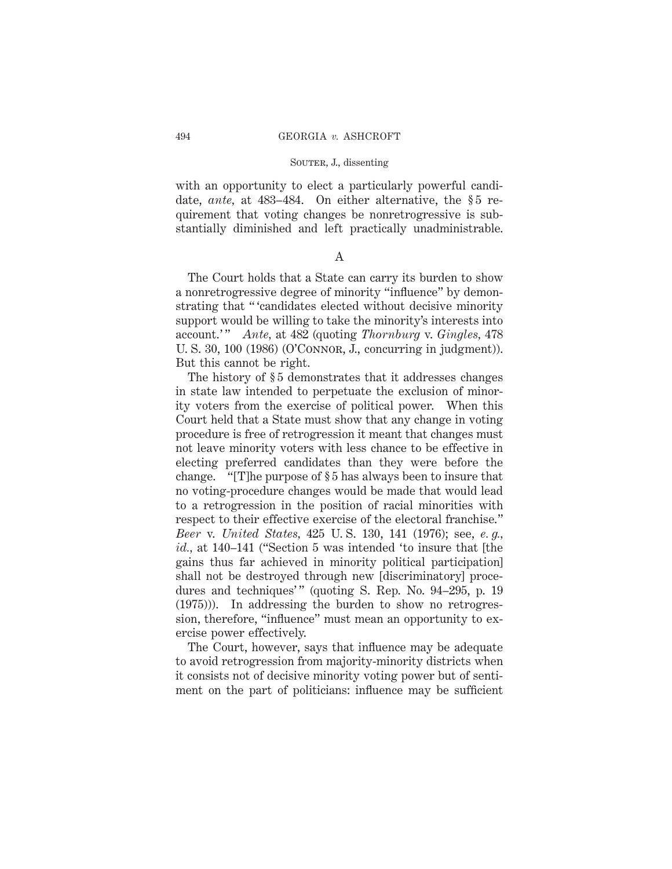with an opportunity to elect a particularly powerful candidate, *ante*, at 483–484. On either alternative, the §5 requirement that voting changes be nonretrogressive is substantially diminished and left practically unadministrable.

## A

The Court holds that a State can carry its burden to show a nonretrogressive degree of minority "influence" by demonstrating that " 'candidates elected without decisive minority support would be willing to take the minority's interests into account.' " *Ante,* at 482 (quoting *Thornburg* v. *Gingles,* 478 U. S. 30, 100 (1986) (O'Connor, J., concurring in judgment)). But this cannot be right.

The history of §5 demonstrates that it addresses changes in state law intended to perpetuate the exclusion of minority voters from the exercise of political power. When this Court held that a State must show that any change in voting procedure is free of retrogression it meant that changes must not leave minority voters with less chance to be effective in electing preferred candidates than they were before the change. "[T]he purpose of § 5 has always been to insure that no voting-procedure changes would be made that would lead to a retrogression in the position of racial minorities with respect to their effective exercise of the electoral franchise." *Beer* v. *United States,* 425 U. S. 130, 141 (1976); see, *e. g., id.,* at 140–141 ("Section 5 was intended 'to insure that [the gains thus far achieved in minority political participation] shall not be destroyed through new [discriminatory] procedures and techniques'" (quoting S. Rep. No. 94-295, p. 19 (1975))). In addressing the burden to show no retrogression, therefore, "influence" must mean an opportunity to exercise power effectively.

The Court, however, says that influence may be adequate to avoid retrogression from majority-minority districts when it consists not of decisive minority voting power but of sentiment on the part of politicians: influence may be sufficient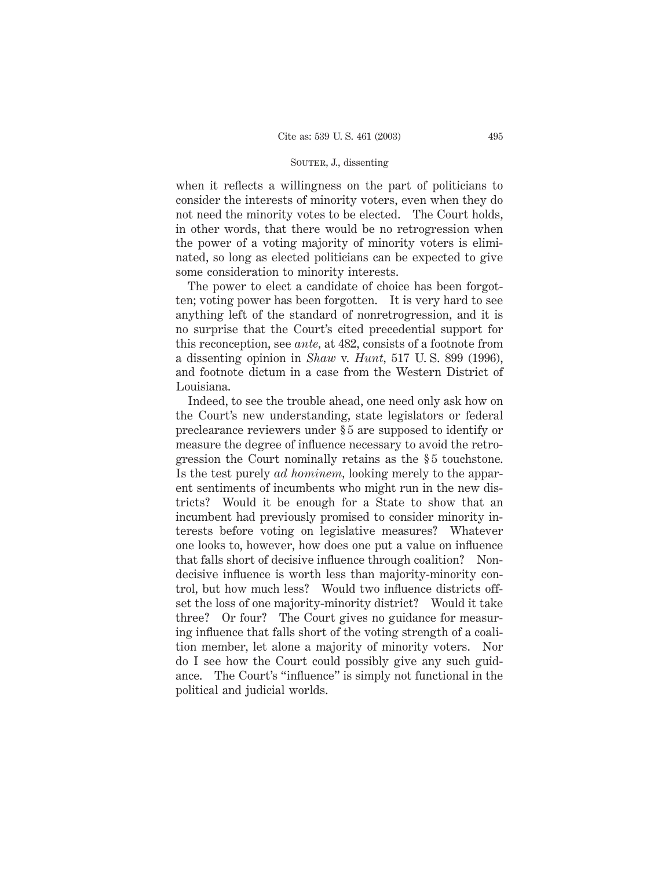when it reflects a willingness on the part of politicians to consider the interests of minority voters, even when they do not need the minority votes to be elected. The Court holds, in other words, that there would be no retrogression when the power of a voting majority of minority voters is eliminated, so long as elected politicians can be expected to give some consideration to minority interests.

The power to elect a candidate of choice has been forgotten; voting power has been forgotten. It is very hard to see anything left of the standard of nonretrogression, and it is no surprise that the Court's cited precedential support for this reconception, see *ante,* at 482, consists of a footnote from a dissenting opinion in *Shaw* v. *Hunt,* 517 U. S. 899 (1996), and footnote dictum in a case from the Western District of Louisiana.

Indeed, to see the trouble ahead, one need only ask how on the Court's new understanding, state legislators or federal preclearance reviewers under § 5 are supposed to identify or measure the degree of influence necessary to avoid the retrogression the Court nominally retains as the § 5 touchstone. Is the test purely *ad hominem,* looking merely to the apparent sentiments of incumbents who might run in the new districts? Would it be enough for a State to show that an incumbent had previously promised to consider minority interests before voting on legislative measures? Whatever one looks to, however, how does one put a value on influence that falls short of decisive influence through coalition? Nondecisive influence is worth less than majority-minority control, but how much less? Would two influence districts offset the loss of one majority-minority district? Would it take three? Or four? The Court gives no guidance for measuring influence that falls short of the voting strength of a coalition member, let alone a majority of minority voters. Nor do I see how the Court could possibly give any such guidance. The Court's "influence" is simply not functional in the political and judicial worlds.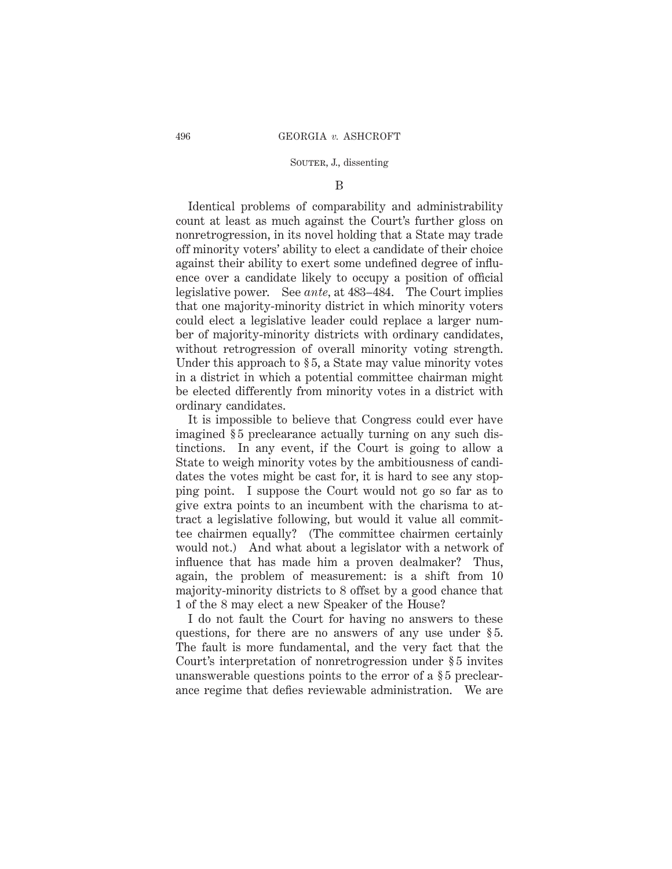### B

Identical problems of comparability and administrability count at least as much against the Court's further gloss on nonretrogression, in its novel holding that a State may trade off minority voters' ability to elect a candidate of their choice against their ability to exert some undefined degree of influence over a candidate likely to occupy a position of official legislative power. See *ante,* at 483–484. The Court implies that one majority-minority district in which minority voters could elect a legislative leader could replace a larger number of majority-minority districts with ordinary candidates, without retrogression of overall minority voting strength. Under this approach to §5, a State may value minority votes in a district in which a potential committee chairman might be elected differently from minority votes in a district with ordinary candidates.

It is impossible to believe that Congress could ever have imagined §5 preclearance actually turning on any such distinctions. In any event, if the Court is going to allow a State to weigh minority votes by the ambitiousness of candidates the votes might be cast for, it is hard to see any stopping point. I suppose the Court would not go so far as to give extra points to an incumbent with the charisma to attract a legislative following, but would it value all committee chairmen equally? (The committee chairmen certainly would not.) And what about a legislator with a network of influence that has made him a proven dealmaker? Thus, again, the problem of measurement: is a shift from 10 majority-minority districts to 8 offset by a good chance that 1 of the 8 may elect a new Speaker of the House?

I do not fault the Court for having no answers to these questions, for there are no answers of any use under § 5. The fault is more fundamental, and the very fact that the Court's interpretation of nonretrogression under § 5 invites unanswerable questions points to the error of a § 5 preclearance regime that defies reviewable administration. We are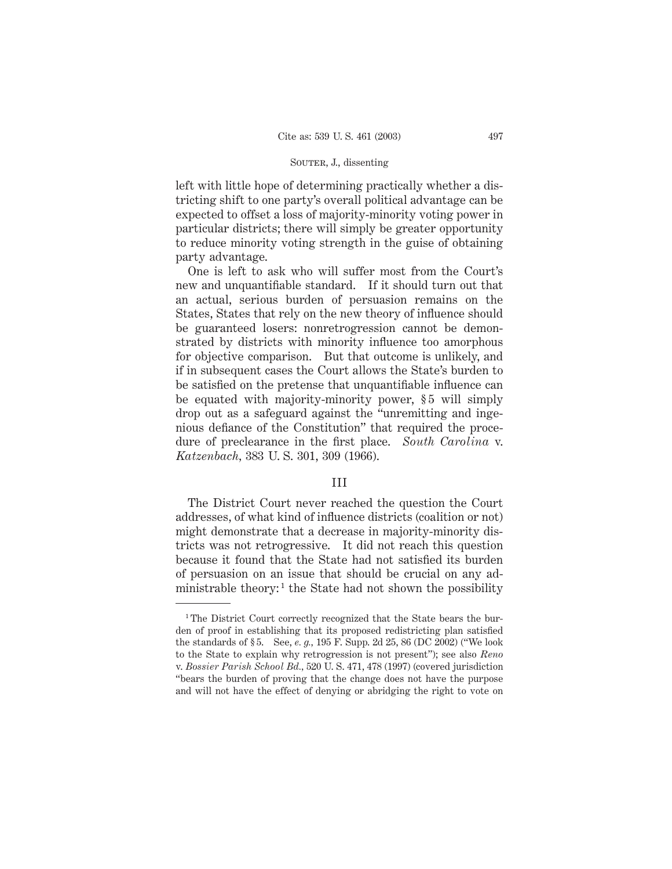left with little hope of determining practically whether a districting shift to one party's overall political advantage can be expected to offset a loss of majority-minority voting power in particular districts; there will simply be greater opportunity to reduce minority voting strength in the guise of obtaining party advantage.

One is left to ask who will suffer most from the Court's new and unquantifiable standard. If it should turn out that an actual, serious burden of persuasion remains on the States, States that rely on the new theory of influence should be guaranteed losers: nonretrogression cannot be demonstrated by districts with minority influence too amorphous for objective comparison. But that outcome is unlikely, and if in subsequent cases the Court allows the State's burden to be satisfied on the pretense that unquantifiable influence can be equated with majority-minority power, §5 will simply drop out as a safeguard against the "unremitting and ingenious defiance of the Constitution" that required the procedure of preclearance in the first place. *South Carolina* v. *Katzenbach,* 383 U. S. 301, 309 (1966).

# III

The District Court never reached the question the Court addresses, of what kind of influence districts (coalition or not) might demonstrate that a decrease in majority-minority districts was not retrogressive. It did not reach this question because it found that the State had not satisfied its burden of persuasion on an issue that should be crucial on any administrable theory:<sup>1</sup> the State had not shown the possibility

<sup>&</sup>lt;sup>1</sup>The District Court correctly recognized that the State bears the burden of proof in establishing that its proposed redistricting plan satisfied the standards of § 5. See, *e. g.,* 195 F. Supp. 2d 25, 86 (DC 2002) ("We look to the State to explain why retrogression is not present"); see also *Reno* v. *Bossier Parish School Bd.,* 520 U. S. 471, 478 (1997) (covered jurisdiction "bears the burden of proving that the change does not have the purpose and will not have the effect of denying or abridging the right to vote on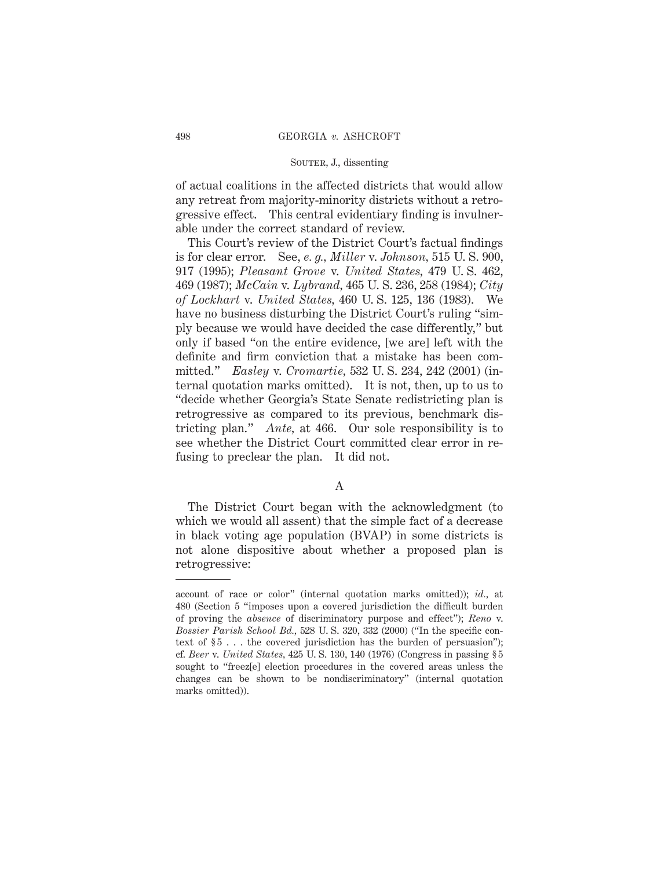of actual coalitions in the affected districts that would allow any retreat from majority-minority districts without a retrogressive effect. This central evidentiary finding is invulnerable under the correct standard of review.

This Court's review of the District Court's factual findings is for clear error. See, *e. g., Miller* v. *Johnson,* 515 U. S. 900, 917 (1995); *Pleasant Grove* v. *United States,* 479 U. S. 462, 469 (1987); *McCain* v. *Lybrand,* 465 U. S. 236, 258 (1984); *City of Lockhart* v. *United States,* 460 U. S. 125, 136 (1983). We have no business disturbing the District Court's ruling "simply because we would have decided the case differently," but only if based "on the entire evidence, [we are] left with the definite and firm conviction that a mistake has been committed." *Easley* v. *Cromartie,* 532 U. S. 234, 242 (2001) (internal quotation marks omitted). It is not, then, up to us to "decide whether Georgia's State Senate redistricting plan is retrogressive as compared to its previous, benchmark districting plan." *Ante,* at 466. Our sole responsibility is to see whether the District Court committed clear error in refusing to preclear the plan. It did not.

### A

The District Court began with the acknowledgment (to which we would all assent) that the simple fact of a decrease in black voting age population (BVAP) in some districts is not alone dispositive about whether a proposed plan is retrogressive:

account of race or color" (internal quotation marks omitted)); *id.,* at 480 (Section 5 "imposes upon a covered jurisdiction the difficult burden of proving the *absence* of discriminatory purpose and effect"); *Reno* v. *Bossier Parish School Bd.,* 528 U. S. 320, 332 (2000) ("In the specific context of  $\S 5$ ... the covered jurisdiction has the burden of persuasion"); cf. *Beer* v. *United States,* 425 U. S. 130, 140 (1976) (Congress in passing § 5 sought to "freez[e] election procedures in the covered areas unless the changes can be shown to be nondiscriminatory" (internal quotation marks omitted)).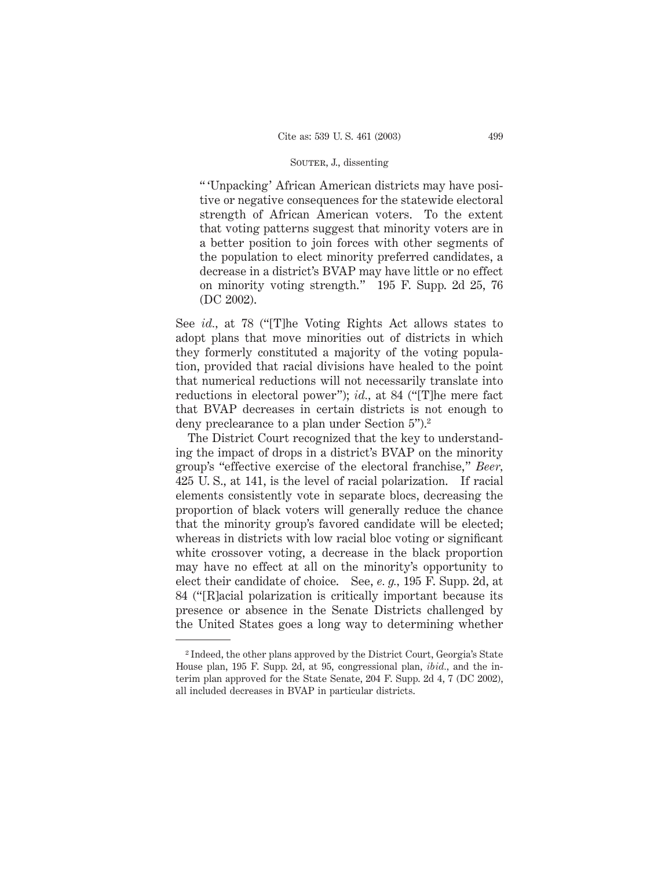" 'Unpacking' African American districts may have positive or negative consequences for the statewide electoral strength of African American voters. To the extent that voting patterns suggest that minority voters are in a better position to join forces with other segments of the population to elect minority preferred candidates, a decrease in a district's BVAP may have little or no effect on minority voting strength." 195 F. Supp. 2d 25, 76 (DC 2002).

See *id.,* at 78 ("[T]he Voting Rights Act allows states to adopt plans that move minorities out of districts in which they formerly constituted a majority of the voting population, provided that racial divisions have healed to the point that numerical reductions will not necessarily translate into reductions in electoral power"); *id.,* at 84 ("[T]he mere fact that BVAP decreases in certain districts is not enough to deny preclearance to a plan under Section 5").2

The District Court recognized that the key to understanding the impact of drops in a district's BVAP on the minority group's "effective exercise of the electoral franchise," *Beer,* 425 U. S., at 141, is the level of racial polarization. If racial elements consistently vote in separate blocs, decreasing the proportion of black voters will generally reduce the chance that the minority group's favored candidate will be elected; whereas in districts with low racial bloc voting or significant white crossover voting, a decrease in the black proportion may have no effect at all on the minority's opportunity to elect their candidate of choice. See, *e. g.,* 195 F. Supp. 2d, at 84 ("[R]acial polarization is critically important because its presence or absence in the Senate Districts challenged by the United States goes a long way to determining whether

<sup>2</sup> Indeed, the other plans approved by the District Court, Georgia's State House plan, 195 F. Supp. 2d, at 95, congressional plan, *ibid.,* and the interim plan approved for the State Senate, 204 F. Supp. 2d 4, 7 (DC 2002), all included decreases in BVAP in particular districts.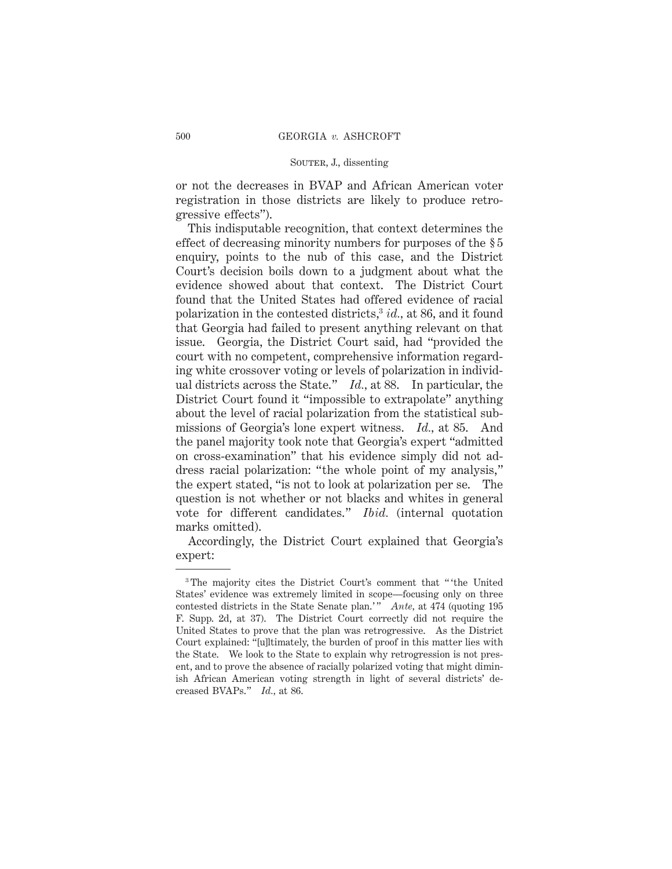or not the decreases in BVAP and African American voter registration in those districts are likely to produce retrogressive effects").

This indisputable recognition, that context determines the effect of decreasing minority numbers for purposes of the § 5 enquiry, points to the nub of this case, and the District Court's decision boils down to a judgment about what the evidence showed about that context. The District Court found that the United States had offered evidence of racial polarization in the contested districts,3 *id.,* at 86, and it found that Georgia had failed to present anything relevant on that issue. Georgia, the District Court said, had "provided the court with no competent, comprehensive information regarding white crossover voting or levels of polarization in individual districts across the State." *Id.,* at 88. In particular, the District Court found it "impossible to extrapolate" anything about the level of racial polarization from the statistical submissions of Georgia's lone expert witness. *Id.,* at 85. And the panel majority took note that Georgia's expert "admitted on cross-examination" that his evidence simply did not address racial polarization: "the whole point of my analysis," the expert stated, "is not to look at polarization per se. The question is not whether or not blacks and whites in general vote for different candidates." *Ibid.* (internal quotation marks omitted).

Accordingly, the District Court explained that Georgia's expert:

<sup>&</sup>lt;sup>3</sup>The majority cites the District Court's comment that " the United States' evidence was extremely limited in scope—focusing only on three contested districts in the State Senate plan.'" *Ante*, at 474 (quoting 195 F. Supp. 2d, at 37). The District Court correctly did not require the United States to prove that the plan was retrogressive. As the District Court explained: "[u]ltimately, the burden of proof in this matter lies with the State. We look to the State to explain why retrogression is not present, and to prove the absence of racially polarized voting that might diminish African American voting strength in light of several districts' decreased BVAPs." *Id.,* at 86.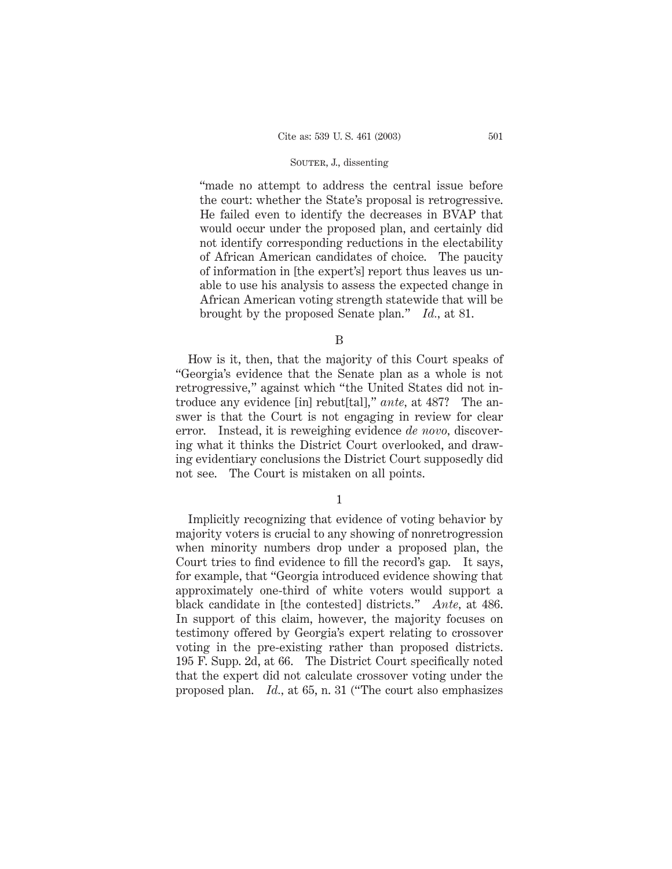"made no attempt to address the central issue before the court: whether the State's proposal is retrogressive. He failed even to identify the decreases in BVAP that would occur under the proposed plan, and certainly did not identify corresponding reductions in the electability of African American candidates of choice. The paucity of information in [the expert's] report thus leaves us unable to use his analysis to assess the expected change in African American voting strength statewide that will be brought by the proposed Senate plan." *Id.,* at 81.

B

How is it, then, that the majority of this Court speaks of "Georgia's evidence that the Senate plan as a whole is not retrogressive," against which "the United States did not introduce any evidence [in] rebut[tal]," *ante,* at 487? The answer is that the Court is not engaging in review for clear error. Instead, it is reweighing evidence *de novo,* discovering what it thinks the District Court overlooked, and drawing evidentiary conclusions the District Court supposedly did not see. The Court is mistaken on all points.

1

Implicitly recognizing that evidence of voting behavior by majority voters is crucial to any showing of nonretrogression when minority numbers drop under a proposed plan, the Court tries to find evidence to fill the record's gap. It says, for example, that "Georgia introduced evidence showing that approximately one-third of white voters would support a black candidate in [the contested] districts." *Ante,* at 486. In support of this claim, however, the majority focuses on testimony offered by Georgia's expert relating to crossover voting in the pre-existing rather than proposed districts. 195 F. Supp. 2d, at 66. The District Court specifically noted that the expert did not calculate crossover voting under the proposed plan. *Id.,* at 65, n. 31 ("The court also emphasizes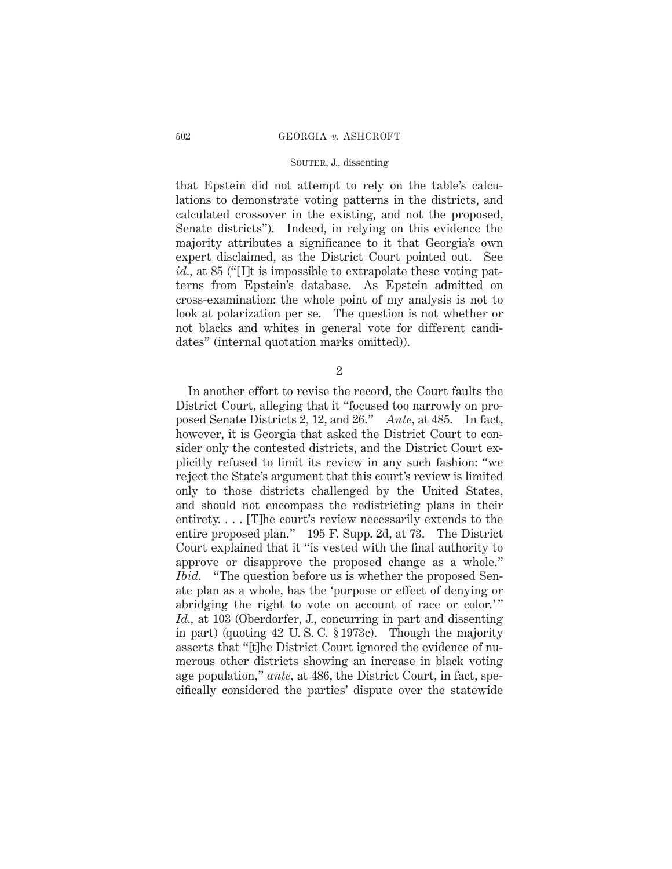that Epstein did not attempt to rely on the table's calculations to demonstrate voting patterns in the districts, and calculated crossover in the existing, and not the proposed, Senate districts"). Indeed, in relying on this evidence the majority attributes a significance to it that Georgia's own expert disclaimed, as the District Court pointed out. See *id.,* at 85 ("[I]t is impossible to extrapolate these voting patterns from Epstein's database. As Epstein admitted on cross-examination: the whole point of my analysis is not to look at polarization per se. The question is not whether or not blacks and whites in general vote for different candidates" (internal quotation marks omitted)).

2

In another effort to revise the record, the Court faults the District Court, alleging that it "focused too narrowly on proposed Senate Districts 2, 12, and 26." *Ante,* at 485. In fact, however, it is Georgia that asked the District Court to consider only the contested districts, and the District Court explicitly refused to limit its review in any such fashion: "we reject the State's argument that this court's review is limited only to those districts challenged by the United States, and should not encompass the redistricting plans in their entirety. . . . [T]he court's review necessarily extends to the entire proposed plan." 195 F. Supp. 2d, at 73. The District Court explained that it "is vested with the final authority to approve or disapprove the proposed change as a whole." *Ibid.* "The question before us is whether the proposed Senate plan as a whole, has the 'purpose or effect of denying or abridging the right to vote on account of race or color.'" *Id.,* at 103 (Oberdorfer, J., concurring in part and dissenting in part) (quoting 42 U. S. C. § 1973c). Though the majority asserts that "[t]he District Court ignored the evidence of numerous other districts showing an increase in black voting age population," *ante,* at 486, the District Court, in fact, specifically considered the parties' dispute over the statewide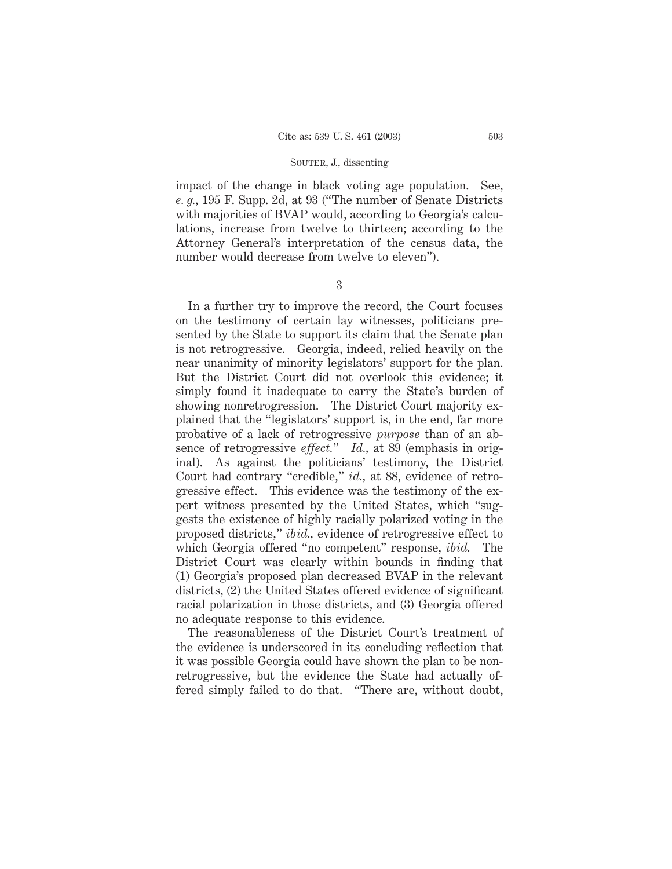impact of the change in black voting age population. See, *e. g.,* 195 F. Supp. 2d, at 93 ("The number of Senate Districts with majorities of BVAP would, according to Georgia's calculations, increase from twelve to thirteen; according to the Attorney General's interpretation of the census data, the number would decrease from twelve to eleven").

3

In a further try to improve the record, the Court focuses on the testimony of certain lay witnesses, politicians presented by the State to support its claim that the Senate plan is not retrogressive. Georgia, indeed, relied heavily on the near unanimity of minority legislators' support for the plan. But the District Court did not overlook this evidence; it simply found it inadequate to carry the State's burden of showing nonretrogression. The District Court majority explained that the "legislators' support is, in the end, far more probative of a lack of retrogressive *purpose* than of an absence of retrogressive *effect.*" *Id.,* at 89 (emphasis in original). As against the politicians' testimony, the District Court had contrary "credible," *id.,* at 88, evidence of retrogressive effect. This evidence was the testimony of the expert witness presented by the United States, which "suggests the existence of highly racially polarized voting in the proposed districts," *ibid.,* evidence of retrogressive effect to which Georgia offered "no competent" response, *ibid.* The District Court was clearly within bounds in finding that (1) Georgia's proposed plan decreased BVAP in the relevant districts, (2) the United States offered evidence of significant racial polarization in those districts, and (3) Georgia offered no adequate response to this evidence.

The reasonableness of the District Court's treatment of the evidence is underscored in its concluding reflection that it was possible Georgia could have shown the plan to be nonretrogressive, but the evidence the State had actually offered simply failed to do that. "There are, without doubt,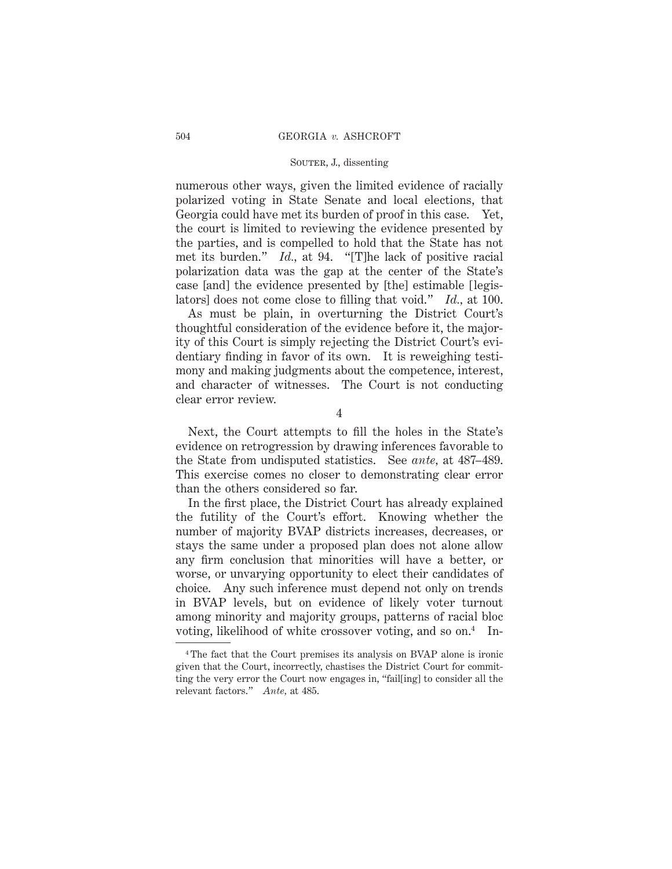numerous other ways, given the limited evidence of racially polarized voting in State Senate and local elections, that Georgia could have met its burden of proof in this case. Yet, the court is limited to reviewing the evidence presented by the parties, and is compelled to hold that the State has not met its burden." *Id.,* at 94. "[T]he lack of positive racial polarization data was the gap at the center of the State's case [and] the evidence presented by [the] estimable [legislators] does not come close to filling that void." *Id.,* at 100.

As must be plain, in overturning the District Court's thoughtful consideration of the evidence before it, the majority of this Court is simply rejecting the District Court's evidentiary finding in favor of its own. It is reweighing testimony and making judgments about the competence, interest, and character of witnesses. The Court is not conducting clear error review.

4

Next, the Court attempts to fill the holes in the State's evidence on retrogression by drawing inferences favorable to the State from undisputed statistics. See *ante,* at 487–489. This exercise comes no closer to demonstrating clear error than the others considered so far.

In the first place, the District Court has already explained the futility of the Court's effort. Knowing whether the number of majority BVAP districts increases, decreases, or stays the same under a proposed plan does not alone allow any firm conclusion that minorities will have a better, or worse, or unvarying opportunity to elect their candidates of choice. Any such inference must depend not only on trends in BVAP levels, but on evidence of likely voter turnout among minority and majority groups, patterns of racial bloc voting, likelihood of white crossover voting, and so on.4 In-

<sup>4</sup> The fact that the Court premises its analysis on BVAP alone is ironic given that the Court, incorrectly, chastises the District Court for committing the very error the Court now engages in, "fail[ing] to consider all the relevant factors." *Ante,* at 485.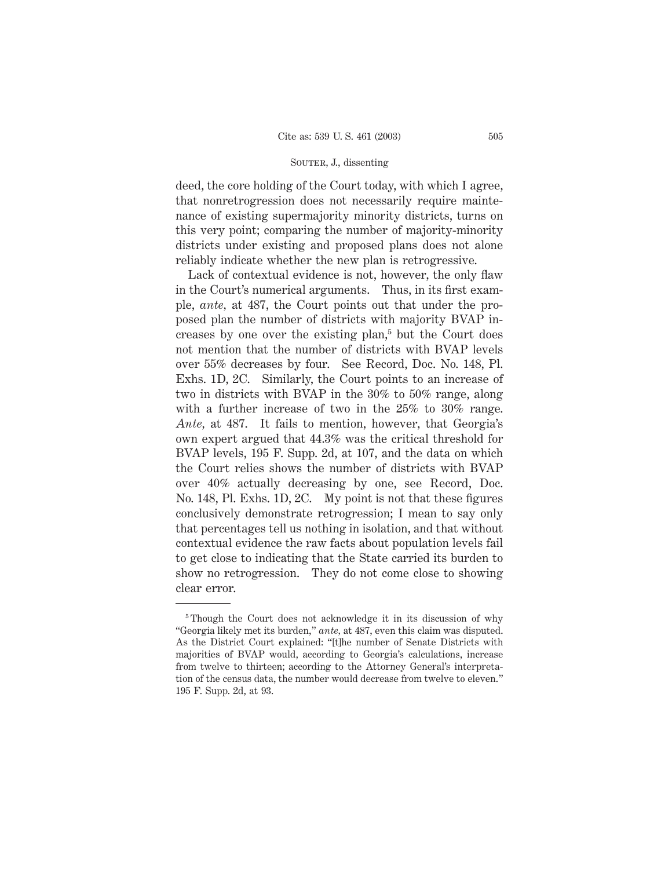deed, the core holding of the Court today, with which I agree, that nonretrogression does not necessarily require maintenance of existing supermajority minority districts, turns on this very point; comparing the number of majority-minority districts under existing and proposed plans does not alone reliably indicate whether the new plan is retrogressive.

Lack of contextual evidence is not, however, the only flaw in the Court's numerical arguments. Thus, in its first example, *ante,* at 487, the Court points out that under the proposed plan the number of districts with majority BVAP increases by one over the existing plan,<sup>5</sup> but the Court does not mention that the number of districts with BVAP levels over 55% decreases by four. See Record, Doc. No. 148, Pl. Exhs. 1D, 2C. Similarly, the Court points to an increase of two in districts with BVAP in the 30% to 50% range, along with a further increase of two in the  $25\%$  to  $30\%$  range. *Ante,* at 487. It fails to mention, however, that Georgia's own expert argued that 44.3% was the critical threshold for BVAP levels, 195 F. Supp. 2d, at 107, and the data on which the Court relies shows the number of districts with BVAP over 40% actually decreasing by one, see Record, Doc. No. 148, Pl. Exhs. 1D, 2C. My point is not that these figures conclusively demonstrate retrogression; I mean to say only that percentages tell us nothing in isolation, and that without contextual evidence the raw facts about population levels fail to get close to indicating that the State carried its burden to show no retrogression. They do not come close to showing clear error.

<sup>5</sup> Though the Court does not acknowledge it in its discussion of why "Georgia likely met its burden," *ante,* at 487, even this claim was disputed. As the District Court explained: "[t]he number of Senate Districts with majorities of BVAP would, according to Georgia's calculations, increase from twelve to thirteen; according to the Attorney General's interpretation of the census data, the number would decrease from twelve to eleven." 195 F. Supp. 2d, at 93.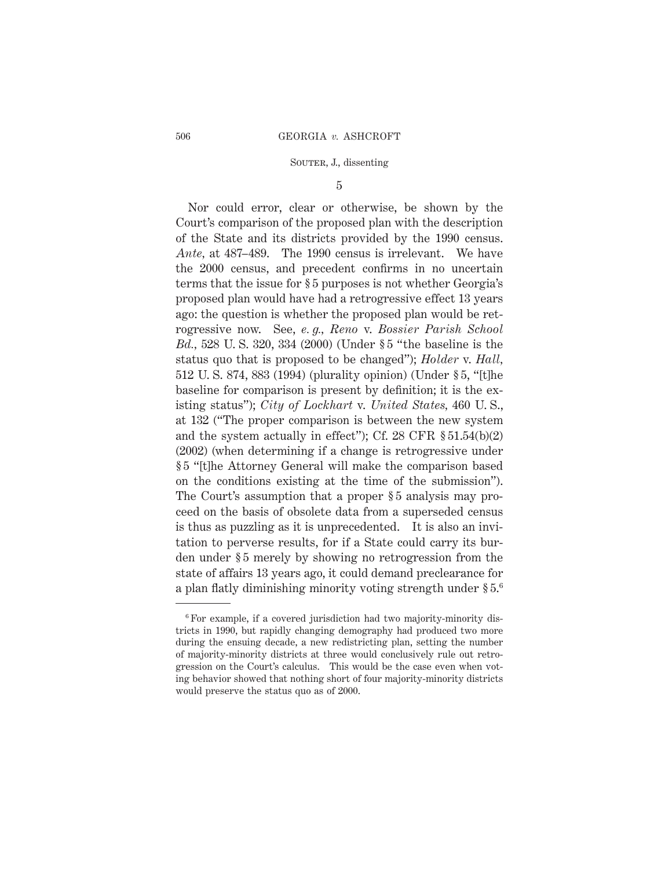5

Nor could error, clear or otherwise, be shown by the Court's comparison of the proposed plan with the description of the State and its districts provided by the 1990 census. *Ante,* at 487–489. The 1990 census is irrelevant. We have the 2000 census, and precedent confirms in no uncertain terms that the issue for § 5 purposes is not whether Georgia's proposed plan would have had a retrogressive effect 13 years ago: the question is whether the proposed plan would be retrogressive now. See, *e. g., Reno* v. *Bossier Parish School Bd.,* 528 U. S. 320, 334 (2000) (Under § 5 "the baseline is the status quo that is proposed to be changed"); *Holder* v. *Hall,* 512 U. S. 874, 883 (1994) (plurality opinion) (Under § 5, "[t]he baseline for comparison is present by definition; it is the existing status"); *City of Lockhart* v. *United States,* 460 U. S., at 132 ("The proper comparison is between the new system and the system actually in effect"); Cf. 28 CFR § 51.54(b)(2) (2002) (when determining if a change is retrogressive under § 5 "[t]he Attorney General will make the comparison based on the conditions existing at the time of the submission"). The Court's assumption that a proper  $\S 5$  analysis may proceed on the basis of obsolete data from a superseded census is thus as puzzling as it is unprecedented. It is also an invitation to perverse results, for if a State could carry its burden under § 5 merely by showing no retrogression from the state of affairs 13 years ago, it could demand preclearance for a plan flatly diminishing minority voting strength under § 5.6

<sup>6</sup> For example, if a covered jurisdiction had two majority-minority districts in 1990, but rapidly changing demography had produced two more during the ensuing decade, a new redistricting plan, setting the number of majority-minority districts at three would conclusively rule out retrogression on the Court's calculus. This would be the case even when voting behavior showed that nothing short of four majority-minority districts would preserve the status quo as of 2000.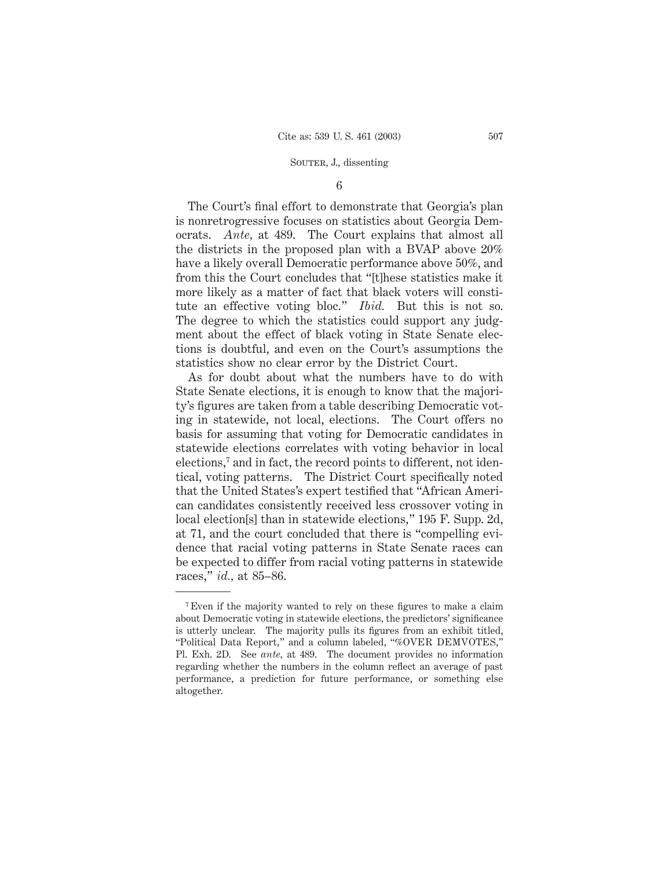### 6

The Court's final effort to demonstrate that Georgia's plan is nonretrogressive focuses on statistics about Georgia Democrats. *Ante,* at 489. The Court explains that almost all the districts in the proposed plan with a BVAP above 20% have a likely overall Democratic performance above 50%, and from this the Court concludes that "[t]hese statistics make it more likely as a matter of fact that black voters will constitute an effective voting bloc." *Ibid.* But this is not so. The degree to which the statistics could support any judgment about the effect of black voting in State Senate elections is doubtful, and even on the Court's assumptions the statistics show no clear error by the District Court.

As for doubt about what the numbers have to do with State Senate elections, it is enough to know that the majority's figures are taken from a table describing Democratic voting in statewide, not local, elections. The Court offers no basis for assuming that voting for Democratic candidates in statewide elections correlates with voting behavior in local elections,<sup>7</sup> and in fact, the record points to different, not identical, voting patterns. The District Court specifically noted that the United States's expert testified that "African American candidates consistently received less crossover voting in local election[s] than in statewide elections," 195 F. Supp. 2d, at 71, and the court concluded that there is "compelling evidence that racial voting patterns in State Senate races can be expected to differ from racial voting patterns in statewide races," *id.,* at 85–86.

<sup>7</sup> Even if the majority wanted to rely on these figures to make a claim about Democratic voting in statewide elections, the predictors' significance is utterly unclear. The majority pulls its figures from an exhibit titled, "Political Data Report," and a column labeled, "%OVER DEMVOTES," Pl. Exh. 2D. See *ante,* at 489. The document provides no information regarding whether the numbers in the column reflect an average of past performance, a prediction for future performance, or something else altogether.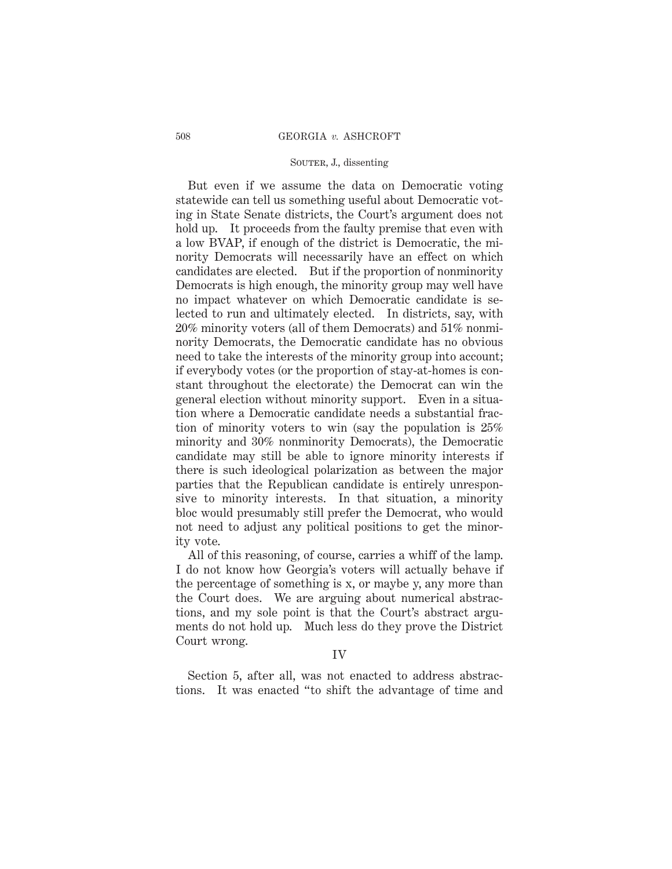But even if we assume the data on Democratic voting statewide can tell us something useful about Democratic voting in State Senate districts, the Court's argument does not hold up. It proceeds from the faulty premise that even with a low BVAP, if enough of the district is Democratic, the minority Democrats will necessarily have an effect on which candidates are elected. But if the proportion of nonminority Democrats is high enough, the minority group may well have no impact whatever on which Democratic candidate is selected to run and ultimately elected. In districts, say, with 20% minority voters (all of them Democrats) and 51% nonminority Democrats, the Democratic candidate has no obvious need to take the interests of the minority group into account; if everybody votes (or the proportion of stay-at-homes is constant throughout the electorate) the Democrat can win the general election without minority support. Even in a situation where a Democratic candidate needs a substantial fraction of minority voters to win (say the population is 25% minority and 30% nonminority Democrats), the Democratic candidate may still be able to ignore minority interests if there is such ideological polarization as between the major parties that the Republican candidate is entirely unresponsive to minority interests. In that situation, a minority bloc would presumably still prefer the Democrat, who would not need to adjust any political positions to get the minority vote.

All of this reasoning, of course, carries a whiff of the lamp. I do not know how Georgia's voters will actually behave if the percentage of something is x, or maybe y, any more than the Court does. We are arguing about numerical abstractions, and my sole point is that the Court's abstract arguments do not hold up. Much less do they prove the District Court wrong.

#### IV

Section 5, after all, was not enacted to address abstractions. It was enacted "to shift the advantage of time and